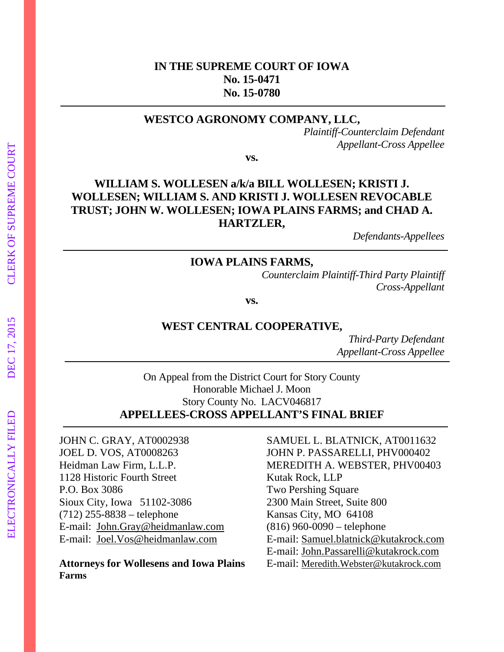# **IN THE SUPREME COURT OF IOWA No. 15-0471 No. 15-0780**

#### **WESTCO AGRONOMY COMPANY, LLC,**

*Plaintiff-Counterclaim Defendant Appellant-Cross Appellee* 

**vs.** 

# **WILLIAM S. WOLLESEN a/k/a BILL WOLLESEN; KRISTI J. WOLLESEN; WILLIAM S. AND KRISTI J. WOLLESEN REVOCABLE TRUST; JOHN W. WOLLESEN; IOWA PLAINS FARMS; and CHAD A. HARTZLER,**

*Defendants-Appellees* 

#### **IOWA PLAINS FARMS,**

*Counterclaim Plaintiff-Third Party Plaintiff Cross-Appellant* 

**vs.** 

#### **WEST CENTRAL COOPERATIVE,**

*Third-Party Defendant Appellant-Cross Appellee* 

On Appeal from the District Court for Story County Honorable Michael J. Moon Story County No. LACV046817 **APPELLEES-CROSS APPELLANT'S FINAL BRIEF** 

JOEL D. VOS, AT0008263 JOHN P. PASSARELLI, PHV000402 1128 Historic Fourth Street Kutak Rock, LLP P.O. Box 3086 Two Pershing Square Sioux City, Iowa 51102-3086 2300 Main Street, Suite 800 (712) 255-8838 – telephone Kansas City, MO 64108 E-mail: John.Gray@heidmanlaw.com (816) 960-0090 – telephone

# **Farms**

JOHN C. GRAY, AT0002938 SAMUEL L. BLATNICK, AT0011632 Heidman Law Firm, L.L.P. MEREDITH A. WEBSTER, PHV00403 E-mail: Joel.Vos@heidmanlaw.com E-mail: Samuel.blatnick@kutakrock.com E-mail: John.Passarelli@kutakrock.com **Attorneys for Wollesens and Iowa Plains** E-mail: Meredith.Webster@kutakrock.com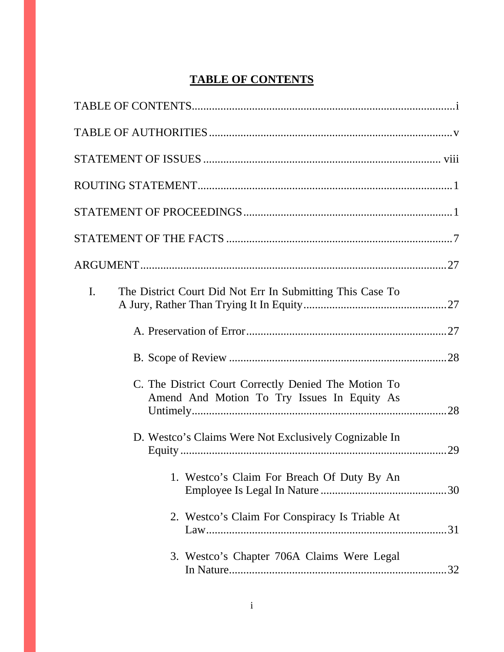# **TABLE OF CONTENTS**

| The District Court Did Not Err In Submitting This Case To<br>$\mathbf{I}$ .                         |
|-----------------------------------------------------------------------------------------------------|
|                                                                                                     |
|                                                                                                     |
| C. The District Court Correctly Denied The Motion To<br>Amend And Motion To Try Issues In Equity As |
| D. Westco's Claims Were Not Exclusively Cognizable In<br>.29                                        |
| 1. Westco's Claim For Breach Of Duty By An                                                          |
| 2. Westco's Claim For Conspiracy Is Triable At                                                      |
| 3. Westco's Chapter 706A Claims Were Legal                                                          |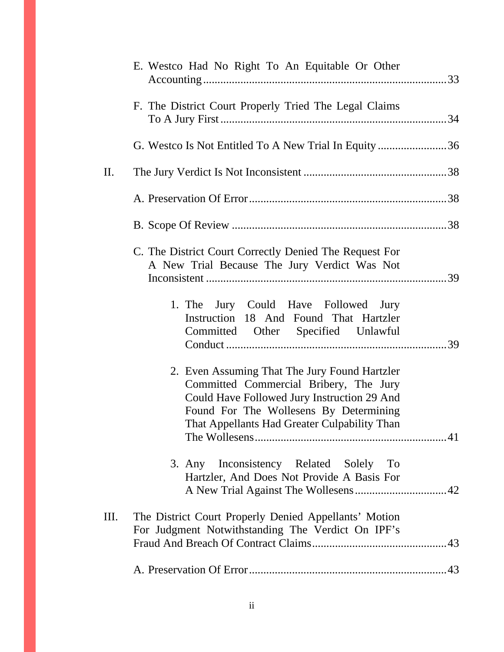|     | E. Westco Had No Right To An Equitable Or Other                                                                                                                                                                                  |  |
|-----|----------------------------------------------------------------------------------------------------------------------------------------------------------------------------------------------------------------------------------|--|
|     | F. The District Court Properly Tried The Legal Claims                                                                                                                                                                            |  |
|     | G. Westco Is Not Entitled To A New Trial In Equity 36                                                                                                                                                                            |  |
| II. |                                                                                                                                                                                                                                  |  |
|     |                                                                                                                                                                                                                                  |  |
|     |                                                                                                                                                                                                                                  |  |
|     | C. The District Court Correctly Denied The Request For<br>A New Trial Because The Jury Verdict Was Not                                                                                                                           |  |
|     | 1. The Jury Could Have Followed Jury<br>Instruction 18 And Found That Hartzler<br>Committed Other Specified Unlawful                                                                                                             |  |
|     | 2. Even Assuming That The Jury Found Hartzler<br>Committed Commercial Bribery, The Jury<br>Could Have Followed Jury Instruction 29 And<br>Found For The Wollesens By Determining<br>That Appellants Had Greater Culpability Than |  |
|     | Inconsistency Related Solely To<br>$3.$ Any<br>Hartzler, And Does Not Provide A Basis For                                                                                                                                        |  |
| Ш.  | The District Court Properly Denied Appellants' Motion<br>For Judgment Notwithstanding The Verdict On IPF's                                                                                                                       |  |
|     |                                                                                                                                                                                                                                  |  |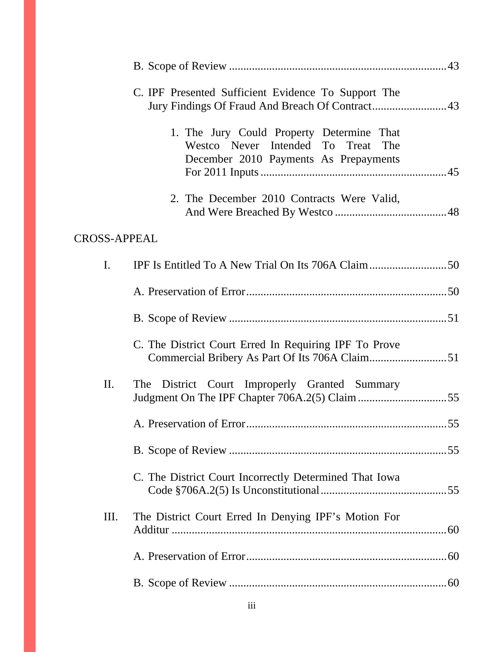|                                                       | C. IPF Presented Sufficient Evidence To Support The                                                                      |  |
|-------------------------------------------------------|--------------------------------------------------------------------------------------------------------------------------|--|
|                                                       | 1. The Jury Could Property Determine That<br>Westco Never Intended To Treat The<br>December 2010 Payments As Prepayments |  |
|                                                       | 2. The December 2010 Contracts Were Valid,                                                                               |  |
| <b>CROSS-APPEAL</b>                                   |                                                                                                                          |  |
| $\mathbf{I}$ .                                        |                                                                                                                          |  |
|                                                       |                                                                                                                          |  |
|                                                       |                                                                                                                          |  |
| C. The District Court Erred In Requiring IPF To Prove |                                                                                                                          |  |
| П.                                                    | The District Court Improperly Granted Summary                                                                            |  |
|                                                       |                                                                                                                          |  |
|                                                       |                                                                                                                          |  |
|                                                       | C. The District Court Incorrectly Determined That Iowa                                                                   |  |
| Ш.                                                    | The District Court Erred In Denying IPF's Motion For                                                                     |  |
|                                                       |                                                                                                                          |  |
|                                                       |                                                                                                                          |  |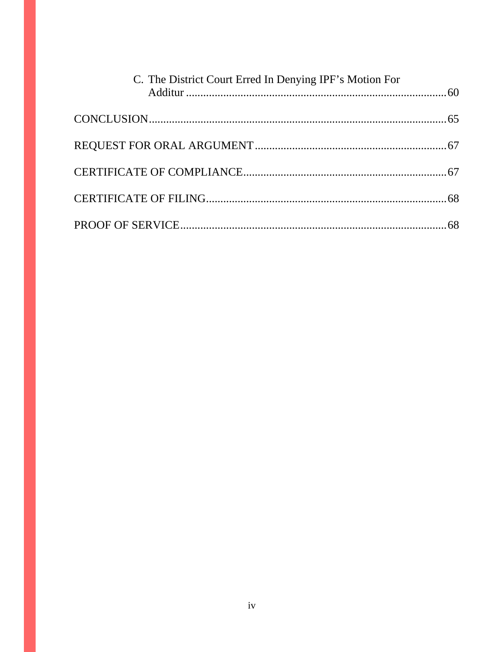| C. The District Court Erred In Denying IPF's Motion For |  |
|---------------------------------------------------------|--|
|                                                         |  |
|                                                         |  |
|                                                         |  |
|                                                         |  |
|                                                         |  |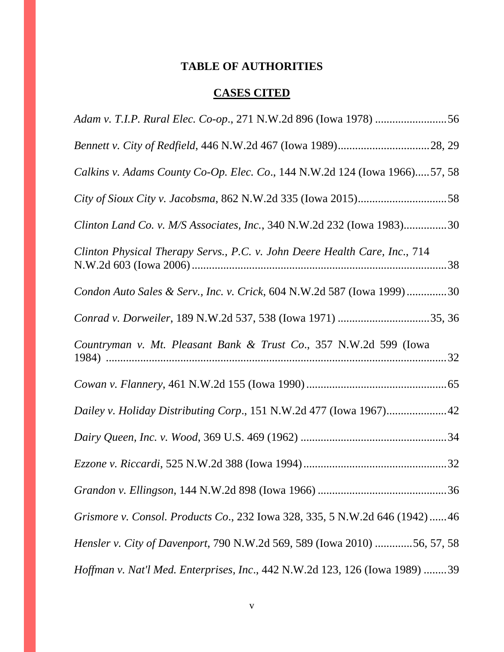# **TABLE OF AUTHORITIES**

# **CASES CITED**

| Calkins v. Adams County Co-Op. Elec. Co., 144 N.W.2d 124 (Iowa 1966)57, 58  |
|-----------------------------------------------------------------------------|
|                                                                             |
| Clinton Land Co. v. M/S Associates, Inc., 340 N.W.2d 232 (Iowa 1983)30      |
| Clinton Physical Therapy Servs., P.C. v. John Deere Health Care, Inc., 714  |
| Condon Auto Sales & Serv., Inc. v. Crick, 604 N.W.2d 587 (Iowa 1999)30      |
|                                                                             |
| Countryman v. Mt. Pleasant Bank & Trust Co., 357 N.W.2d 599 (Iowa           |
|                                                                             |
| Dailey v. Holiday Distributing Corp., 151 N.W.2d 477 (Iowa 1967)42          |
|                                                                             |
|                                                                             |
|                                                                             |
| Grismore v. Consol. Products Co., 232 Iowa 328, 335, 5 N.W.2d 646 (1942)46  |
| Hensler v. City of Davenport, 790 N.W.2d 569, 589 (Iowa 2010) 56, 57, 58    |
| Hoffman v. Nat'l Med. Enterprises, Inc., 442 N.W.2d 123, 126 (Iowa 1989) 39 |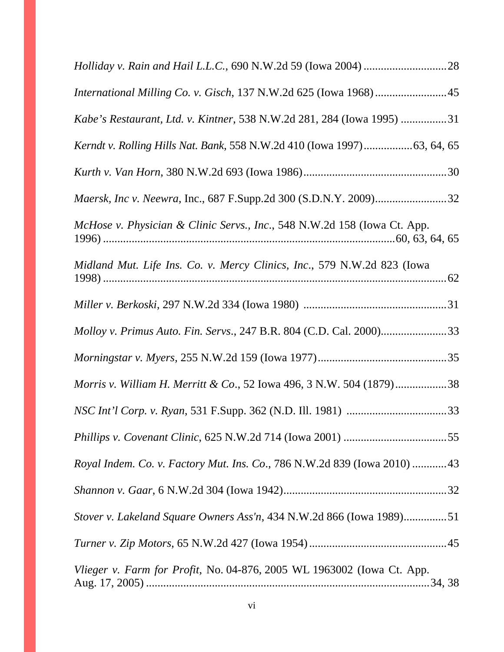| International Milling Co. v. Gisch, 137 N.W.2d 625 (Iowa 1968)45         |
|--------------------------------------------------------------------------|
| Kabe's Restaurant, Ltd. v. Kintner, 538 N.W.2d 281, 284 (Iowa 1995) 31   |
| Kerndt v. Rolling Hills Nat. Bank, 558 N.W.2d 410 (Iowa 1997)63, 64, 65  |
|                                                                          |
|                                                                          |
| McHose v. Physician & Clinic Servs., Inc., 548 N.W.2d 158 (Iowa Ct. App. |
| Midland Mut. Life Ins. Co. v. Mercy Clinics, Inc., 579 N.W.2d 823 (Iowa  |
|                                                                          |
| Molloy v. Primus Auto. Fin. Servs., 247 B.R. 804 (C.D. Cal. 2000)33      |
|                                                                          |
| Morris v. William H. Merritt & Co., 52 Iowa 496, 3 N.W. 504 (1879)38     |
|                                                                          |
|                                                                          |
| Royal Indem. Co. v. Factory Mut. Ins. Co., 786 N.W.2d 839 (Iowa 2010) 43 |
|                                                                          |
| Stover v. Lakeland Square Owners Ass'n, 434 N.W.2d 866 (Iowa 1989)51     |
|                                                                          |
| Vlieger v. Farm for Profit, No. 04-876, 2005 WL 1963002 (Iowa Ct. App.   |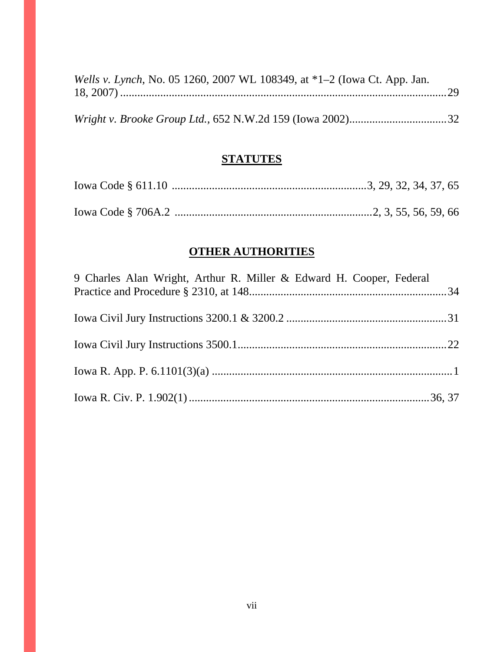| Wells v. Lynch, No. 05 1260, 2007 WL 108349, at *1–2 (Iowa Ct. App. Jan. |  |
|--------------------------------------------------------------------------|--|
|                                                                          |  |
|                                                                          |  |
|                                                                          |  |

# **STATUTES**

# **OTHER AUTHORITIES**

| 9 Charles Alan Wright, Arthur R. Miller & Edward H. Cooper, Federal |  |
|---------------------------------------------------------------------|--|
|                                                                     |  |
|                                                                     |  |
|                                                                     |  |
|                                                                     |  |
|                                                                     |  |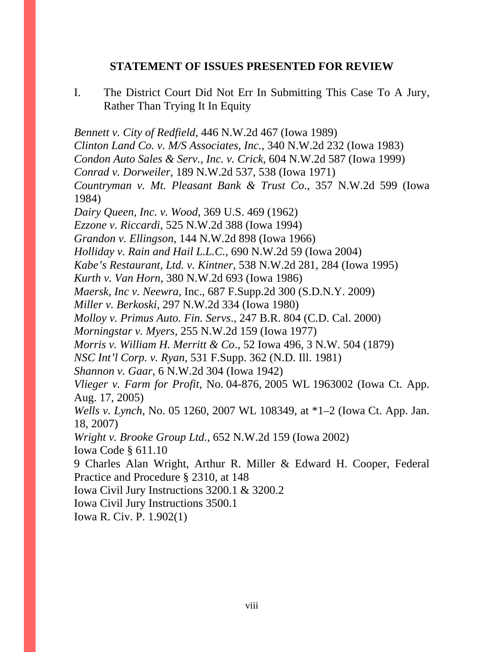### **STATEMENT OF ISSUES PRESENTED FOR REVIEW**

I. The District Court Did Not Err In Submitting This Case To A Jury, Rather Than Trying It In Equity

*Bennett v. City of Redfield*, 446 N.W.2d 467 (Iowa 1989) *Clinton Land Co. v. M/S Associates, Inc.*, 340 N.W.2d 232 (Iowa 1983) *Condon Auto Sales & Serv., Inc. v. Crick*, 604 N.W.2d 587 (Iowa 1999) *Conrad v. Dorweiler*, 189 N.W.2d 537, 538 (Iowa 1971) *Countryman v. Mt. Pleasant Bank & Trust Co*., 357 N.W.2d 599 (Iowa 1984) *Dairy Queen, Inc. v. Wood*, 369 U.S. 469 (1962) *Ezzone v. Riccardi*, 525 N.W.2d 388 (Iowa 1994) *Grandon v. Ellingson*, 144 N.W.2d 898 (Iowa 1966) *Holliday v. Rain and Hail L.L.C.*, 690 N.W.2d 59 (Iowa 2004) *Kabe's Restaurant, Ltd. v. Kintner*, 538 N.W.2d 281, 284 (Iowa 1995) *Kurth v. Van Horn*, 380 N.W.2d 693 (Iowa 1986) *Maersk, Inc v. Neewra*, Inc., 687 F.Supp.2d 300 (S.D.N.Y. 2009) *Miller v. Berkoski*, 297 N.W.2d 334 (Iowa 1980) *Molloy v. Primus Auto. Fin. Servs*., 247 B.R. 804 (C.D. Cal. 2000) *Morningstar v. Myers*, 255 N.W.2d 159 (Iowa 1977) *Morris v. William H. Merritt & Co*., 52 Iowa 496, 3 N.W. 504 (1879) *NSC Int'l Corp. v. Ryan*, 531 F.Supp. 362 (N.D. Ill. 1981) *Shannon v. Gaar*, 6 N.W.2d 304 (Iowa 1942) *Vlieger v. Farm for Profit*, No. 04-876, 2005 WL 1963002 (Iowa Ct. App. Aug. 17, 2005) *Wells v. Lynch*, No. 05 1260, 2007 WL 108349, at \*1–2 (Iowa Ct. App. Jan. 18, 2007) *Wright v. Brooke Group Ltd.,* 652 N.W.2d 159 (Iowa 2002) Iowa Code § 611.10 9 Charles Alan Wright, Arthur R. Miller & Edward H. Cooper, Federal Practice and Procedure § 2310, at 148 Iowa Civil Jury Instructions 3200.1 & 3200.2 Iowa Civil Jury Instructions 3500.1

Iowa R. Civ. P. 1.902(1)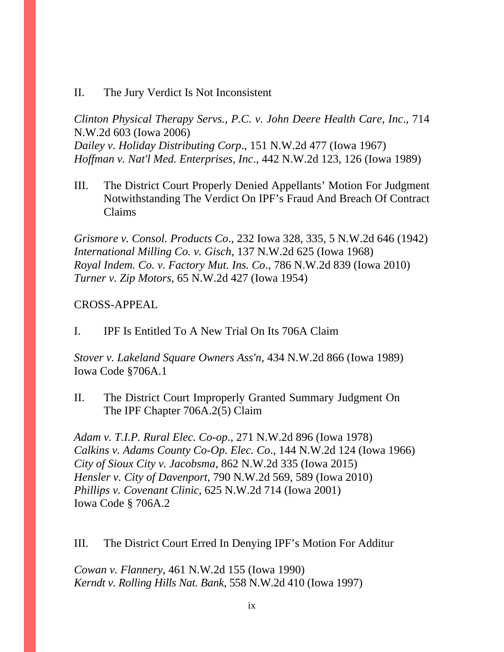#### II. The Jury Verdict Is Not Inconsistent

*Clinton Physical Therapy Servs., P.C. v. John Deere Health Care, Inc*., 714 N.W.2d 603 (Iowa 2006) *Dailey v. Holiday Distributing Corp*., 151 N.W.2d 477 (Iowa 1967) *Hoffman v. Nat'l Med. Enterprises, Inc*., 442 N.W.2d 123, 126 (Iowa 1989)

III. The District Court Properly Denied Appellants' Motion For Judgment Notwithstanding The Verdict On IPF's Fraud And Breach Of Contract Claims

*Grismore v. Consol. Products Co*., 232 Iowa 328, 335, 5 N.W.2d 646 (1942) *International Milling Co. v. Gisch*, 137 N.W.2d 625 (Iowa 1968) *Royal Indem. Co. v. Factory Mut. Ins. Co*., 786 N.W.2d 839 (Iowa 2010) *Turner v. Zip Motors*, 65 N.W.2d 427 (Iowa 1954)

## CROSS-APPEAL

I. IPF Is Entitled To A New Trial On Its 706A Claim

*Stover v. Lakeland Square Owners Ass'n*, 434 N.W.2d 866 (Iowa 1989) Iowa Code §706A.1

II. The District Court Improperly Granted Summary Judgment On The IPF Chapter 706A.2(5) Claim

*Adam v. T.I.P. Rural Elec. Co-op*., 271 N.W.2d 896 (Iowa 1978) *Calkins v. Adams County Co-Op. Elec. Co*., 144 N.W.2d 124 (Iowa 1966) *City of Sioux City v. Jacobsma*, 862 N.W.2d 335 (Iowa 2015) *Hensler v. City of Davenport*, 790 N.W.2d 569, 589 (Iowa 2010) *Phillips v. Covenant Clinic*, 625 N.W.2d 714 (Iowa 2001) Iowa Code § 706A.2

III. The District Court Erred In Denying IPF's Motion For Additur

*Cowan v. Flannery*, 461 N.W.2d 155 (Iowa 1990) *Kerndt v. Rolling Hills Nat. Bank*, 558 N.W.2d 410 (Iowa 1997)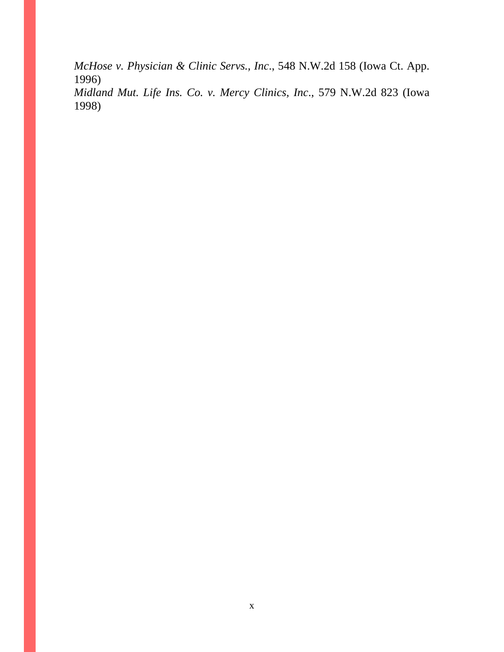*McHose v. Physician & Clinic Servs., Inc*., 548 N.W.2d 158 (Iowa Ct. App. 1996)

*Midland Mut. Life Ins. Co. v. Mercy Clinics, Inc*., 579 N.W.2d 823 (Iowa 1998)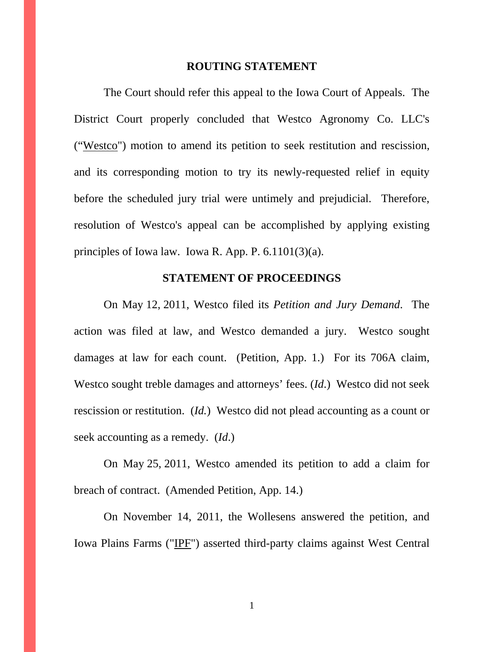#### **ROUTING STATEMENT**

 The Court should refer this appeal to the Iowa Court of Appeals. The District Court properly concluded that Westco Agronomy Co. LLC's ("Westco") motion to amend its petition to seek restitution and rescission, and its corresponding motion to try its newly-requested relief in equity before the scheduled jury trial were untimely and prejudicial. Therefore, resolution of Westco's appeal can be accomplished by applying existing principles of Iowa law. Iowa R. App. P. 6.1101(3)(a).

#### **STATEMENT OF PROCEEDINGS**

On May 12, 2011, Westco filed its *Petition and Jury Demand*. The action was filed at law, and Westco demanded a jury. Westco sought damages at law for each count. (Petition, App. 1.) For its 706A claim, Westco sought treble damages and attorneys' fees. (*Id*.) Westco did not seek rescission or restitution. (*Id.*) Westco did not plead accounting as a count or seek accounting as a remedy. (*Id*.)

On May 25, 2011, Westco amended its petition to add a claim for breach of contract. (Amended Petition, App. 14.)

On November 14, 2011, the Wollesens answered the petition, and Iowa Plains Farms ("IPF") asserted third-party claims against West Central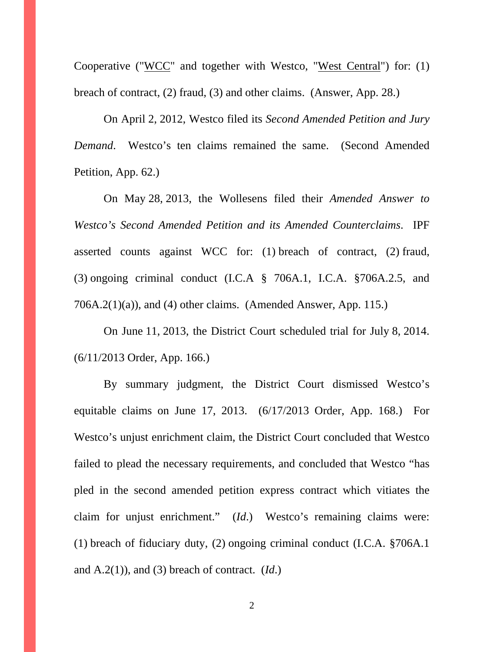Cooperative ("WCC" and together with Westco, "West Central") for: (1) breach of contract, (2) fraud, (3) and other claims. (Answer, App. 28.)

On April 2, 2012, Westco filed its *Second Amended Petition and Jury Demand*. Westco's ten claims remained the same. (Second Amended Petition, App. 62.)

On May 28, 2013, the Wollesens filed their *Amended Answer to Westco's Second Amended Petition and its Amended Counterclaims*. IPF asserted counts against WCC for: (1) breach of contract, (2) fraud, (3) ongoing criminal conduct (I.C.A § 706A.1, I.C.A. §706A.2.5, and  $706A.2(1)(a)$ , and (4) other claims. (Amended Answer, App. 115.)

On June 11, 2013, the District Court scheduled trial for July 8, 2014. (6/11/2013 Order, App. 166.)

By summary judgment, the District Court dismissed Westco's equitable claims on June 17, 2013. (6/17/2013 Order, App. 168.) For Westco's unjust enrichment claim, the District Court concluded that Westco failed to plead the necessary requirements, and concluded that Westco "has pled in the second amended petition express contract which vitiates the claim for unjust enrichment." (*Id*.) Westco's remaining claims were: (1) breach of fiduciary duty, (2) ongoing criminal conduct (I.C.A. §706A.1 and A.2(1)), and (3) breach of contract. (*Id*.)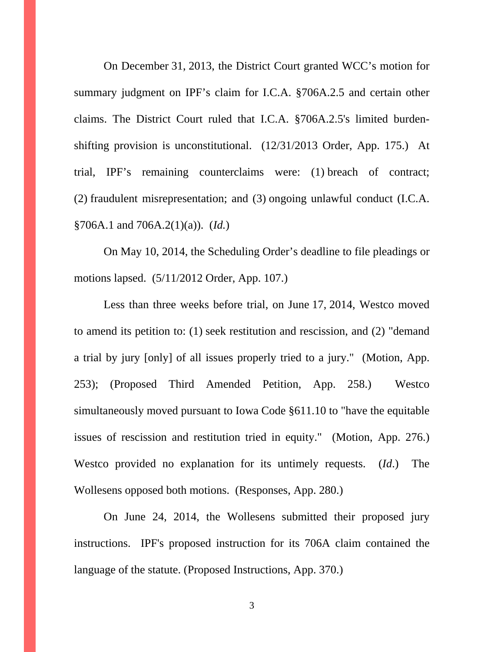On December 31, 2013, the District Court granted WCC's motion for summary judgment on IPF's claim for I.C.A. §706A.2.5 and certain other claims. The District Court ruled that I.C.A. §706A.2.5's limited burdenshifting provision is unconstitutional. (12/31/2013 Order, App. 175.) At trial, IPF's remaining counterclaims were: (1) breach of contract; (2) fraudulent misrepresentation; and (3) ongoing unlawful conduct (I.C.A. §706A.1 and 706A.2(1)(a)). (*Id.*)

On May 10, 2014, the Scheduling Order's deadline to file pleadings or motions lapsed. (5/11/2012 Order, App. 107.)

Less than three weeks before trial, on June 17, 2014, Westco moved to amend its petition to: (1) seek restitution and rescission, and (2) "demand a trial by jury [only] of all issues properly tried to a jury." (Motion, App. 253); (Proposed Third Amended Petition, App. 258.) Westco simultaneously moved pursuant to Iowa Code §611.10 to "have the equitable issues of rescission and restitution tried in equity." (Motion, App. 276.) Westco provided no explanation for its untimely requests. (*Id*.) The Wollesens opposed both motions. (Responses, App. 280.)

On June 24, 2014, the Wollesens submitted their proposed jury instructions. IPF's proposed instruction for its 706A claim contained the language of the statute. (Proposed Instructions, App. 370.)

3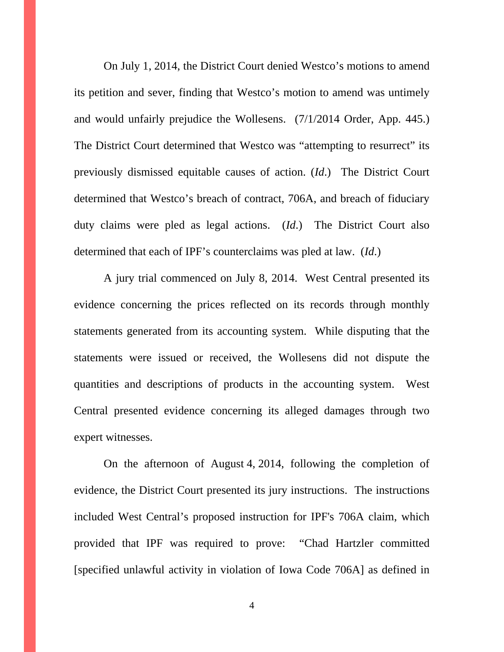On July 1, 2014, the District Court denied Westco's motions to amend its petition and sever, finding that Westco's motion to amend was untimely and would unfairly prejudice the Wollesens. (7/1/2014 Order, App. 445.) The District Court determined that Westco was "attempting to resurrect" its previously dismissed equitable causes of action. (*Id*.) The District Court determined that Westco's breach of contract, 706A, and breach of fiduciary duty claims were pled as legal actions. (*Id*.) The District Court also determined that each of IPF's counterclaims was pled at law. (*Id*.)

A jury trial commenced on July 8, 2014. West Central presented its evidence concerning the prices reflected on its records through monthly statements generated from its accounting system. While disputing that the statements were issued or received, the Wollesens did not dispute the quantities and descriptions of products in the accounting system. West Central presented evidence concerning its alleged damages through two expert witnesses.

On the afternoon of August 4, 2014, following the completion of evidence, the District Court presented its jury instructions. The instructions included West Central's proposed instruction for IPF's 706A claim, which provided that IPF was required to prove: "Chad Hartzler committed [specified unlawful activity in violation of Iowa Code 706A] as defined in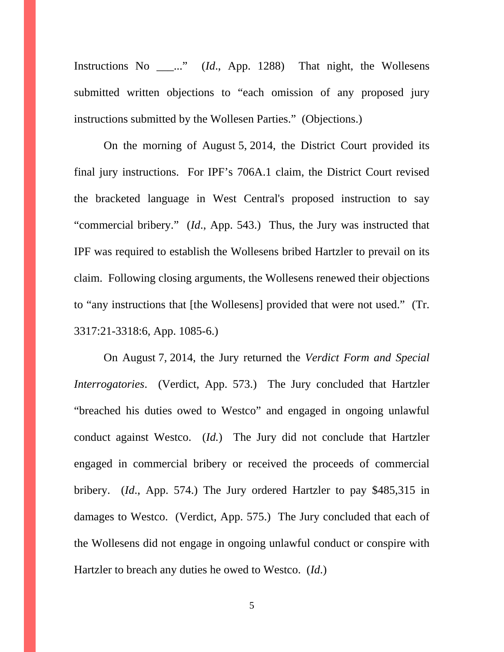Instructions No \_\_\_..." (*Id*., App. 1288) That night, the Wollesens submitted written objections to "each omission of any proposed jury instructions submitted by the Wollesen Parties." (Objections.)

On the morning of August 5, 2014, the District Court provided its final jury instructions. For IPF's 706A.1 claim, the District Court revised the bracketed language in West Central's proposed instruction to say "commercial bribery." (*Id*., App. 543.) Thus, the Jury was instructed that IPF was required to establish the Wollesens bribed Hartzler to prevail on its claim. Following closing arguments, the Wollesens renewed their objections to "any instructions that [the Wollesens] provided that were not used." (Tr. 3317:21-3318:6, App. 1085-6.)

On August 7, 2014, the Jury returned the *Verdict Form and Special Interrogatories*. (Verdict, App. 573.) The Jury concluded that Hartzler "breached his duties owed to Westco" and engaged in ongoing unlawful conduct against Westco. (*Id.*) The Jury did not conclude that Hartzler engaged in commercial bribery or received the proceeds of commercial bribery. (*Id*., App. 574.) The Jury ordered Hartzler to pay \$485,315 in damages to Westco. (Verdict, App. 575.) The Jury concluded that each of the Wollesens did not engage in ongoing unlawful conduct or conspire with Hartzler to breach any duties he owed to Westco. (*Id*.)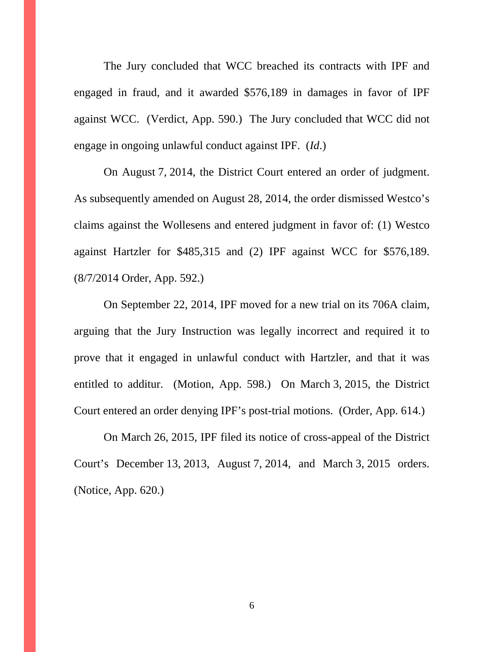The Jury concluded that WCC breached its contracts with IPF and engaged in fraud, and it awarded \$576,189 in damages in favor of IPF against WCC. (Verdict, App. 590.) The Jury concluded that WCC did not engage in ongoing unlawful conduct against IPF. (*Id*.)

On August 7, 2014, the District Court entered an order of judgment. As subsequently amended on August 28, 2014, the order dismissed Westco's claims against the Wollesens and entered judgment in favor of: (1) Westco against Hartzler for \$485,315 and (2) IPF against WCC for \$576,189. (8/7/2014 Order, App. 592.)

On September 22, 2014, IPF moved for a new trial on its 706A claim, arguing that the Jury Instruction was legally incorrect and required it to prove that it engaged in unlawful conduct with Hartzler, and that it was entitled to additur. (Motion, App. 598.) On March 3, 2015, the District Court entered an order denying IPF's post-trial motions. (Order, App. 614.)

On March 26, 2015, IPF filed its notice of cross-appeal of the District Court's December 13, 2013, August 7, 2014, and March 3, 2015 orders. (Notice, App. 620.)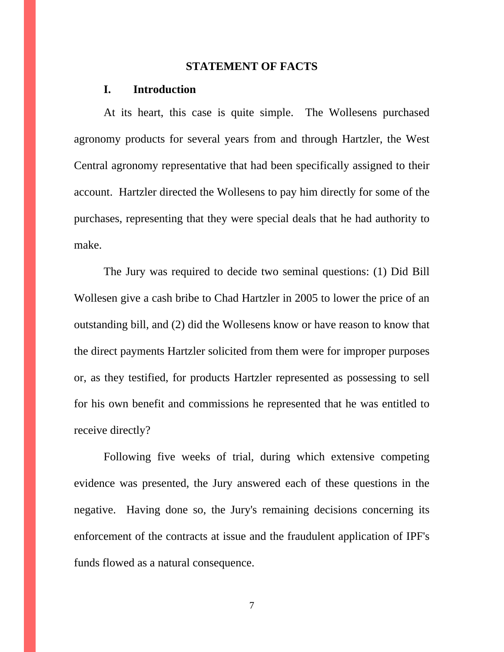#### **STATEMENT OF FACTS**

#### **I. Introduction**

At its heart, this case is quite simple. The Wollesens purchased agronomy products for several years from and through Hartzler, the West Central agronomy representative that had been specifically assigned to their account. Hartzler directed the Wollesens to pay him directly for some of the purchases, representing that they were special deals that he had authority to make.

The Jury was required to decide two seminal questions: (1) Did Bill Wollesen give a cash bribe to Chad Hartzler in 2005 to lower the price of an outstanding bill, and (2) did the Wollesens know or have reason to know that the direct payments Hartzler solicited from them were for improper purposes or, as they testified, for products Hartzler represented as possessing to sell for his own benefit and commissions he represented that he was entitled to receive directly?

Following five weeks of trial, during which extensive competing evidence was presented, the Jury answered each of these questions in the negative. Having done so, the Jury's remaining decisions concerning its enforcement of the contracts at issue and the fraudulent application of IPF's funds flowed as a natural consequence.

7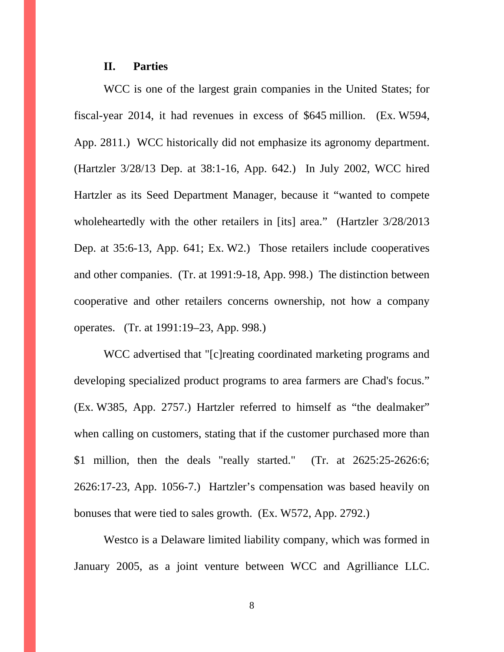#### **II. Parties**

 WCC is one of the largest grain companies in the United States; for fiscal-year 2014, it had revenues in excess of \$645 million. (Ex. W594, App. 2811.) WCC historically did not emphasize its agronomy department. (Hartzler 3/28/13 Dep. at 38:1-16, App. 642.) In July 2002, WCC hired Hartzler as its Seed Department Manager, because it "wanted to compete wholeheartedly with the other retailers in [its] area." (Hartzler 3/28/2013) Dep. at 35:6-13, App. 641; Ex. W2.) Those retailers include cooperatives and other companies. (Tr. at 1991:9-18, App. 998.) The distinction between cooperative and other retailers concerns ownership, not how a company operates. (Tr. at 1991:19–23, App. 998.)

WCC advertised that "[c]reating coordinated marketing programs and developing specialized product programs to area farmers are Chad's focus." (Ex. W385, App. 2757.) Hartzler referred to himself as "the dealmaker" when calling on customers, stating that if the customer purchased more than \$1 million, then the deals "really started." (Tr. at 2625:25-2626:6; 2626:17-23, App. 1056-7.) Hartzler's compensation was based heavily on bonuses that were tied to sales growth. (Ex. W572, App. 2792.)

Westco is a Delaware limited liability company, which was formed in January 2005, as a joint venture between WCC and Agrilliance LLC.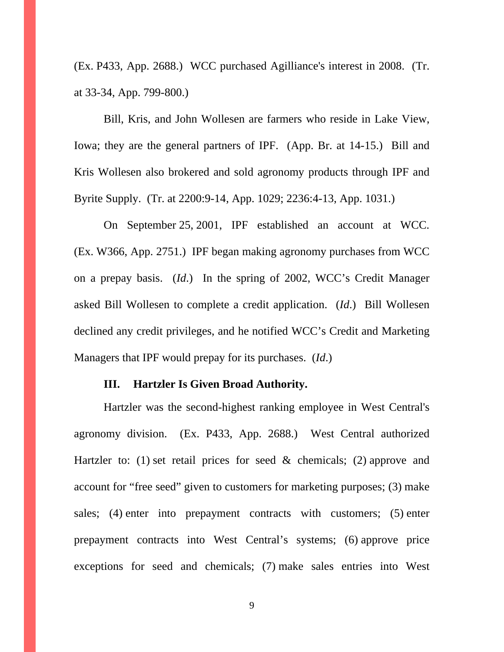(Ex. P433, App. 2688.) WCC purchased Agilliance's interest in 2008. (Tr. at 33-34, App. 799-800.)

Bill, Kris, and John Wollesen are farmers who reside in Lake View, Iowa; they are the general partners of IPF. (App. Br. at 14-15.) Bill and Kris Wollesen also brokered and sold agronomy products through IPF and Byrite Supply. (Tr. at 2200:9-14, App. 1029; 2236:4-13, App. 1031.)

On September 25, 2001, IPF established an account at WCC. (Ex. W366, App. 2751.) IPF began making agronomy purchases from WCC on a prepay basis. (*Id*.) In the spring of 2002, WCC's Credit Manager asked Bill Wollesen to complete a credit application. (*Id*.) Bill Wollesen declined any credit privileges, and he notified WCC's Credit and Marketing Managers that IPF would prepay for its purchases. (*Id*.)

#### **III. Hartzler Is Given Broad Authority.**

Hartzler was the second-highest ranking employee in West Central's agronomy division. (Ex. P433, App. 2688.) West Central authorized Hartzler to: (1) set retail prices for seed  $\&$  chemicals; (2) approve and account for "free seed" given to customers for marketing purposes; (3) make sales; (4) enter into prepayment contracts with customers; (5) enter prepayment contracts into West Central's systems; (6) approve price exceptions for seed and chemicals; (7) make sales entries into West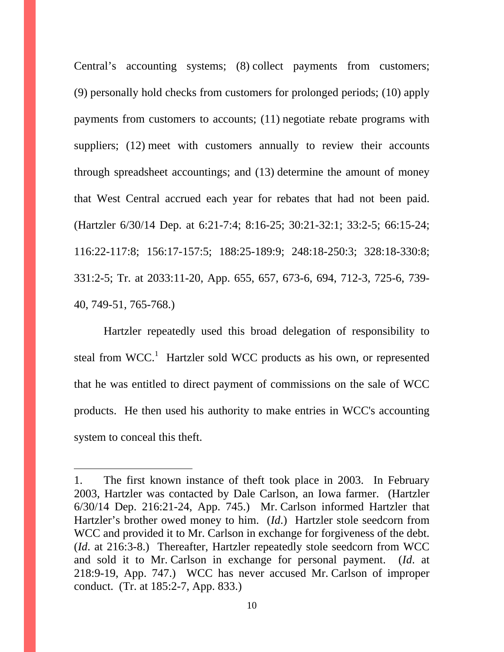Central's accounting systems; (8) collect payments from customers; (9) personally hold checks from customers for prolonged periods; (10) apply payments from customers to accounts; (11) negotiate rebate programs with suppliers; (12) meet with customers annually to review their accounts through spreadsheet accountings; and (13) determine the amount of money that West Central accrued each year for rebates that had not been paid. (Hartzler 6/30/14 Dep. at 6:21-7:4; 8:16-25; 30:21-32:1; 33:2-5; 66:15-24; 116:22-117:8; 156:17-157:5; 188:25-189:9; 248:18-250:3; 328:18-330:8; 331:2-5; Tr. at 2033:11-20, App. 655, 657, 673-6, 694, 712-3, 725-6, 739- 40, 749-51, 765-768.)

Hartzler repeatedly used this broad delegation of responsibility to steal from WCC.<sup>1</sup> Hartzler sold WCC products as his own, or represented that he was entitled to direct payment of commissions on the sale of WCC products. He then used his authority to make entries in WCC's accounting system to conceal this theft.

 $\overline{a}$ 

<sup>1.</sup> The first known instance of theft took place in 2003. In February 2003, Hartzler was contacted by Dale Carlson, an Iowa farmer. (Hartzler 6/30/14 Dep. 216:21-24, App. 745.) Mr. Carlson informed Hartzler that Hartzler's brother owed money to him. (*Id*.) Hartzler stole seedcorn from WCC and provided it to Mr. Carlson in exchange for forgiveness of the debt. (*Id*. at 216:3-8.) Thereafter, Hartzler repeatedly stole seedcorn from WCC and sold it to Mr. Carlson in exchange for personal payment. (*Id*. at 218:9-19, App. 747.) WCC has never accused Mr. Carlson of improper conduct. (Tr. at 185:2-7, App. 833.)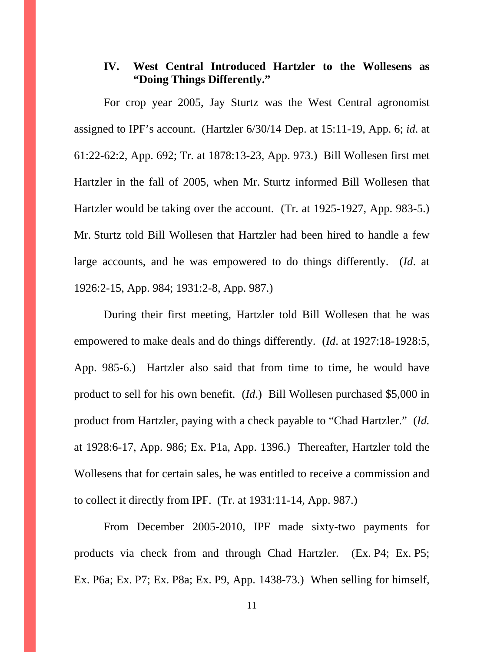# **IV. West Central Introduced Hartzler to the Wollesens as "Doing Things Differently."**

For crop year 2005, Jay Sturtz was the West Central agronomist assigned to IPF's account. (Hartzler 6/30/14 Dep. at 15:11-19, App. 6; *id*. at 61:22-62:2, App. 692; Tr. at 1878:13-23, App. 973.) Bill Wollesen first met Hartzler in the fall of 2005, when Mr. Sturtz informed Bill Wollesen that Hartzler would be taking over the account. (Tr. at 1925-1927, App. 983-5.) Mr. Sturtz told Bill Wollesen that Hartzler had been hired to handle a few large accounts, and he was empowered to do things differently. (*Id*. at 1926:2-15, App. 984; 1931:2-8, App. 987.)

During their first meeting, Hartzler told Bill Wollesen that he was empowered to make deals and do things differently. (*Id*. at 1927:18-1928:5, App. 985-6.) Hartzler also said that from time to time, he would have product to sell for his own benefit. (*Id*.) Bill Wollesen purchased \$5,000 in product from Hartzler, paying with a check payable to "Chad Hartzler." (*Id.* at 1928:6-17, App. 986; Ex. P1a, App. 1396.) Thereafter, Hartzler told the Wollesens that for certain sales, he was entitled to receive a commission and to collect it directly from IPF. (Tr. at 1931:11-14, App. 987.)

From December 2005-2010, IPF made sixty-two payments for products via check from and through Chad Hartzler. (Ex. P4; Ex. P5; Ex. P6a; Ex. P7; Ex. P8a; Ex. P9, App. 1438-73.) When selling for himself,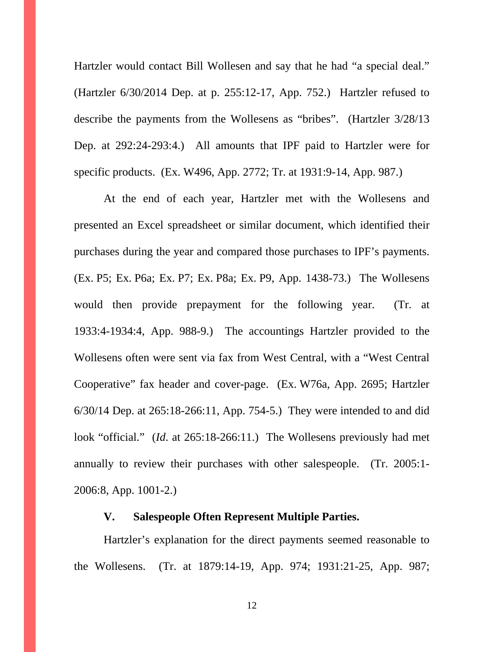Hartzler would contact Bill Wollesen and say that he had "a special deal." (Hartzler 6/30/2014 Dep. at p. 255:12-17, App. 752.) Hartzler refused to describe the payments from the Wollesens as "bribes". (Hartzler 3/28/13 Dep. at 292:24-293:4.) All amounts that IPF paid to Hartzler were for specific products. (Ex. W496, App. 2772; Tr. at 1931:9-14, App. 987.)

At the end of each year, Hartzler met with the Wollesens and presented an Excel spreadsheet or similar document, which identified their purchases during the year and compared those purchases to IPF's payments. (Ex. P5; Ex. P6a; Ex. P7; Ex. P8a; Ex. P9, App. 1438-73.) The Wollesens would then provide prepayment for the following year. (Tr. at 1933:4-1934:4, App. 988-9.) The accountings Hartzler provided to the Wollesens often were sent via fax from West Central, with a "West Central Cooperative" fax header and cover-page. (Ex. W76a, App. 2695; Hartzler 6/30/14 Dep. at 265:18-266:11, App. 754-5.) They were intended to and did look "official." (*Id*. at 265:18-266:11.) The Wollesens previously had met annually to review their purchases with other salespeople. (Tr. 2005:1- 2006:8, App. 1001-2.)

#### **V. Salespeople Often Represent Multiple Parties.**

Hartzler's explanation for the direct payments seemed reasonable to the Wollesens. (Tr. at 1879:14-19, App. 974; 1931:21-25, App. 987;

12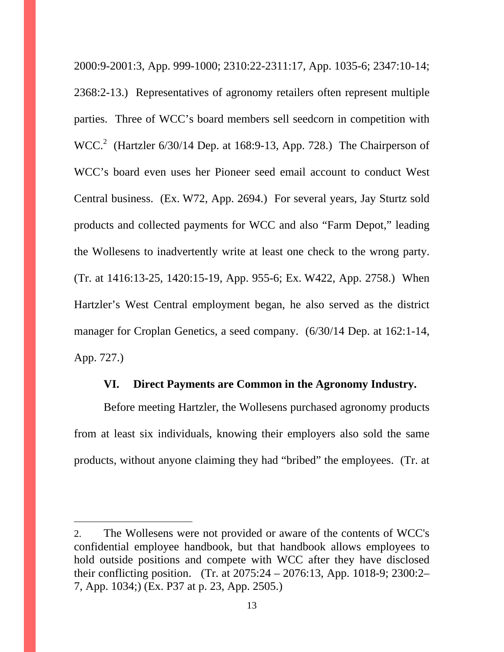2000:9-2001:3, App. 999-1000; 2310:22-2311:17, App. 1035-6; 2347:10-14; 2368:2-13.) Representatives of agronomy retailers often represent multiple parties. Three of WCC's board members sell seedcorn in competition with  $WCC<sup>2</sup>$  (Hartzler 6/30/14 Dep. at 168:9-13, App. 728.) The Chairperson of WCC's board even uses her Pioneer seed email account to conduct West Central business. (Ex. W72, App. 2694.) For several years, Jay Sturtz sold products and collected payments for WCC and also "Farm Depot," leading the Wollesens to inadvertently write at least one check to the wrong party. (Tr. at 1416:13-25, 1420:15-19, App. 955-6; Ex. W422, App. 2758.) When Hartzler's West Central employment began, he also served as the district manager for Croplan Genetics, a seed company. (6/30/14 Dep. at 162:1-14, App. 727.)

## **VI. Direct Payments are Common in the Agronomy Industry.**

Before meeting Hartzler, the Wollesens purchased agronomy products from at least six individuals, knowing their employers also sold the same products, without anyone claiming they had "bribed" the employees. (Tr. at

 $\overline{a}$ 

<sup>2.</sup> The Wollesens were not provided or aware of the contents of WCC's confidential employee handbook, but that handbook allows employees to hold outside positions and compete with WCC after they have disclosed their conflicting position. (Tr. at 2075:24 – 2076:13, App. 1018-9; 2300:2– 7, App. 1034;) (Ex. P37 at p. 23, App. 2505.)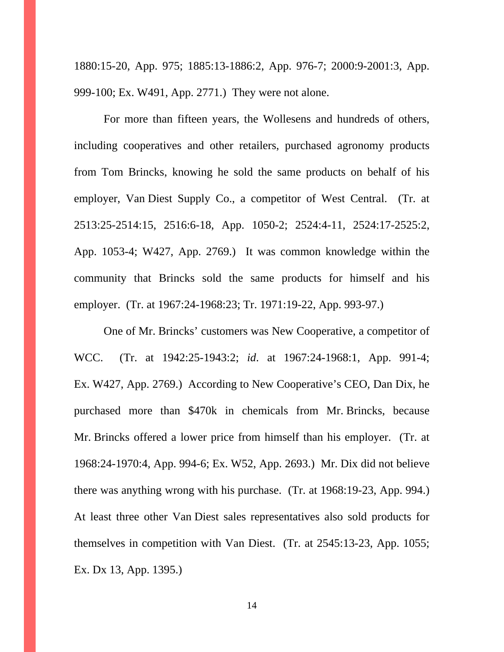1880:15-20, App. 975; 1885:13-1886:2, App. 976-7; 2000:9-2001:3, App. 999-100; Ex. W491, App. 2771.) They were not alone.

For more than fifteen years, the Wollesens and hundreds of others, including cooperatives and other retailers, purchased agronomy products from Tom Brincks, knowing he sold the same products on behalf of his employer, Van Diest Supply Co., a competitor of West Central. (Tr. at 2513:25-2514:15, 2516:6-18, App. 1050-2; 2524:4-11, 2524:17-2525:2, App. 1053-4; W427, App. 2769.) It was common knowledge within the community that Brincks sold the same products for himself and his employer. (Tr. at 1967:24-1968:23; Tr. 1971:19-22, App. 993-97.)

One of Mr. Brincks' customers was New Cooperative, a competitor of WCC. (Tr. at 1942:25-1943:2; *id*. at 1967:24-1968:1, App. 991-4; Ex. W427, App. 2769.) According to New Cooperative's CEO, Dan Dix, he purchased more than \$470k in chemicals from Mr. Brincks, because Mr. Brincks offered a lower price from himself than his employer. (Tr. at 1968:24-1970:4, App. 994-6; Ex. W52, App. 2693.) Mr. Dix did not believe there was anything wrong with his purchase. (Tr. at 1968:19-23, App. 994.) At least three other Van Diest sales representatives also sold products for themselves in competition with Van Diest. (Tr. at 2545:13-23, App. 1055; Ex. Dx 13, App. 1395.)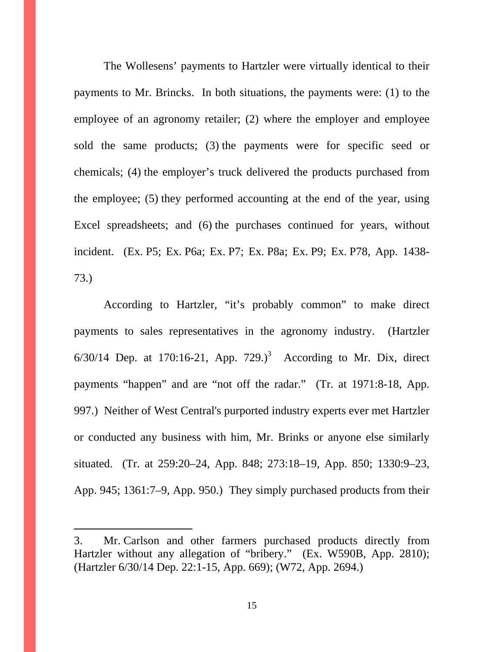The Wollesens' payments to Hartzler were virtually identical to their payments to Mr. Brincks. In both situations, the payments were: (1) to the employee of an agronomy retailer; (2) where the employer and employee sold the same products; (3) the payments were for specific seed or chemicals; (4) the employer's truck delivered the products purchased from the employee; (5) they performed accounting at the end of the year, using Excel spreadsheets; and (6) the purchases continued for years, without incident. (Ex. P5; Ex. P6a; Ex. P7; Ex. P8a; Ex. P9; Ex. P78, App. 1438- 73.)

According to Hartzler, "it's probably common" to make direct payments to sales representatives in the agronomy industry. (Hartzler  $6/30/14$  Dep. at 170:16-21, App. 729.)<sup>3</sup> According to Mr. Dix, direct payments "happen" and are "not off the radar." (Tr. at 1971:8-18, App. 997.) Neither of West Central's purported industry experts ever met Hartzler or conducted any business with him, Mr. Brinks or anyone else similarly situated. (Tr. at 259:20–24, App. 848; 273:18–19, App. 850; 1330:9–23, App. 945; 1361:7–9, App. 950.) They simply purchased products from their

 $\overline{a}$ 

<sup>3.</sup> Mr. Carlson and other farmers purchased products directly from Hartzler without any allegation of "bribery." (Ex. W590B, App. 2810); (Hartzler 6/30/14 Dep. 22:1-15, App. 669); (W72, App. 2694.)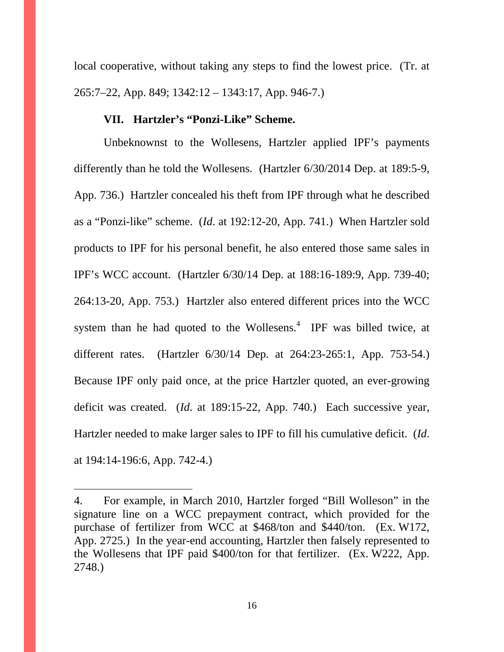local cooperative, without taking any steps to find the lowest price. (Tr. at 265:7–22, App. 849; 1342:12 – 1343:17, App. 946-7.)

#### **VII. Hartzler's "Ponzi-Like" Scheme.**

Unbeknownst to the Wollesens, Hartzler applied IPF's payments differently than he told the Wollesens. (Hartzler 6/30/2014 Dep. at 189:5-9, App. 736.) Hartzler concealed his theft from IPF through what he described as a "Ponzi-like" scheme. (*Id*. at 192:12-20, App. 741.) When Hartzler sold products to IPF for his personal benefit, he also entered those same sales in IPF's WCC account. (Hartzler 6/30/14 Dep. at 188:16-189:9, App. 739-40; 264:13-20, App. 753.) Hartzler also entered different prices into the WCC system than he had quoted to the Wollesens. $4$  IPF was billed twice, at different rates. (Hartzler 6/30/14 Dep. at 264:23-265:1, App. 753-54.) Because IPF only paid once, at the price Hartzler quoted, an ever-growing deficit was created. (*Id*. at 189:15-22, App. 740.) Each successive year, Hartzler needed to make larger sales to IPF to fill his cumulative deficit. (*Id*. at 194:14-196:6, App. 742-4.)

 $\overline{a}$ 

<sup>4.</sup> For example, in March 2010, Hartzler forged "Bill Wolleson" in the signature line on a WCC prepayment contract, which provided for the purchase of fertilizer from WCC at \$468/ton and \$440/ton. (Ex. W172, App. 2725.) In the year-end accounting, Hartzler then falsely represented to the Wollesens that IPF paid \$400/ton for that fertilizer. (Ex. W222, App. 2748.)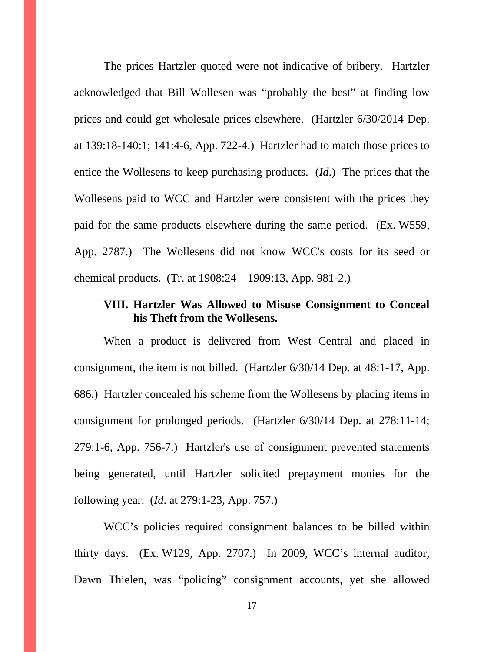The prices Hartzler quoted were not indicative of bribery. Hartzler acknowledged that Bill Wollesen was "probably the best" at finding low prices and could get wholesale prices elsewhere. (Hartzler 6/30/2014 Dep. at 139:18-140:1; 141:4-6, App. 722-4.) Hartzler had to match those prices to entice the Wollesens to keep purchasing products. (*Id*.) The prices that the Wollesens paid to WCC and Hartzler were consistent with the prices they paid for the same products elsewhere during the same period. (Ex. W559, App. 2787.) The Wollesens did not know WCC's costs for its seed or chemical products. (Tr. at 1908:24 – 1909:13, App. 981-2.)

# **VIII. Hartzler Was Allowed to Misuse Consignment to Conceal his Theft from the Wollesens.**

When a product is delivered from West Central and placed in consignment, the item is not billed. (Hartzler 6/30/14 Dep. at 48:1-17, App. 686.) Hartzler concealed his scheme from the Wollesens by placing items in consignment for prolonged periods. (Hartzler 6/30/14 Dep. at 278:11-14; 279:1-6, App. 756-7.) Hartzler's use of consignment prevented statements being generated, until Hartzler solicited prepayment monies for the following year. (*Id*. at 279:1-23, App. 757.)

WCC's policies required consignment balances to be billed within thirty days. (Ex. W129, App. 2707.) In 2009, WCC's internal auditor, Dawn Thielen, was "policing" consignment accounts, yet she allowed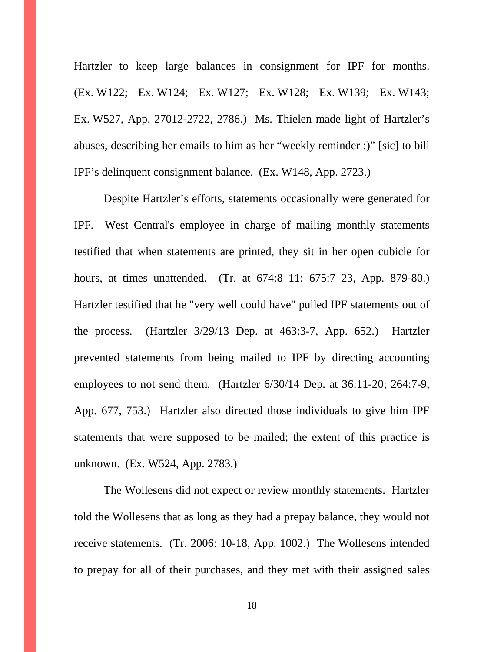Hartzler to keep large balances in consignment for IPF for months. (Ex. W122; Ex. W124; Ex. W127; Ex. W128; Ex. W139; Ex. W143; Ex. W527, App. 27012-2722, 2786.) Ms. Thielen made light of Hartzler's abuses, describing her emails to him as her "weekly reminder :)" [sic] to bill IPF's delinquent consignment balance. (Ex. W148, App. 2723.)

Despite Hartzler's efforts, statements occasionally were generated for IPF. West Central's employee in charge of mailing monthly statements testified that when statements are printed, they sit in her open cubicle for hours, at times unattended. (Tr. at 674:8–11; 675:7–23, App. 879-80.) Hartzler testified that he "very well could have" pulled IPF statements out of the process. (Hartzler 3/29/13 Dep. at 463:3-7, App. 652.) Hartzler prevented statements from being mailed to IPF by directing accounting employees to not send them. (Hartzler 6/30/14 Dep. at 36:11-20; 264:7-9, App. 677, 753.) Hartzler also directed those individuals to give him IPF statements that were supposed to be mailed; the extent of this practice is unknown. (Ex. W524, App. 2783.)

The Wollesens did not expect or review monthly statements. Hartzler told the Wollesens that as long as they had a prepay balance, they would not receive statements. (Tr. 2006: 10-18, App. 1002.) The Wollesens intended to prepay for all of their purchases, and they met with their assigned sales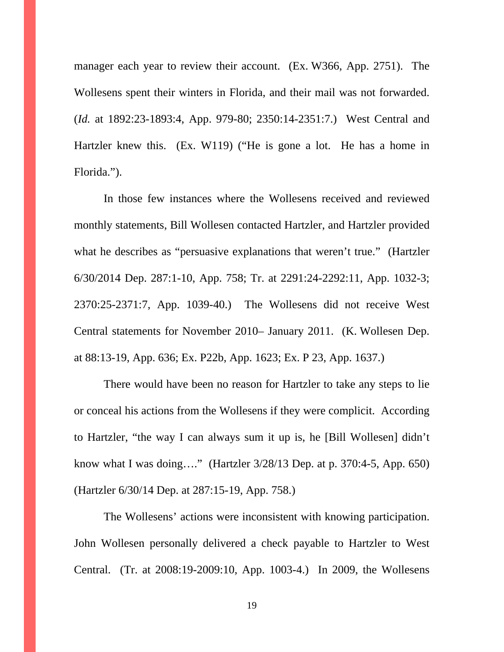manager each year to review their account. (Ex. W366, App. 2751). The Wollesens spent their winters in Florida, and their mail was not forwarded. (*Id.* at 1892:23-1893:4, App. 979-80; 2350:14-2351:7.) West Central and Hartzler knew this. (Ex. W119) ("He is gone a lot. He has a home in Florida.").

In those few instances where the Wollesens received and reviewed monthly statements, Bill Wollesen contacted Hartzler, and Hartzler provided what he describes as "persuasive explanations that weren't true." (Hartzler 6/30/2014 Dep. 287:1-10, App. 758; Tr. at 2291:24-2292:11, App. 1032-3; 2370:25-2371:7, App. 1039-40.) The Wollesens did not receive West Central statements for November 2010– January 2011. (K. Wollesen Dep. at 88:13-19, App. 636; Ex. P22b, App. 1623; Ex. P 23, App. 1637.)

There would have been no reason for Hartzler to take any steps to lie or conceal his actions from the Wollesens if they were complicit. According to Hartzler, "the way I can always sum it up is, he [Bill Wollesen] didn't know what I was doing…." (Hartzler 3/28/13 Dep. at p. 370:4-5, App. 650) (Hartzler 6/30/14 Dep. at 287:15-19, App. 758.)

The Wollesens' actions were inconsistent with knowing participation. John Wollesen personally delivered a check payable to Hartzler to West Central. (Tr. at 2008:19-2009:10, App. 1003-4.) In 2009, the Wollesens

19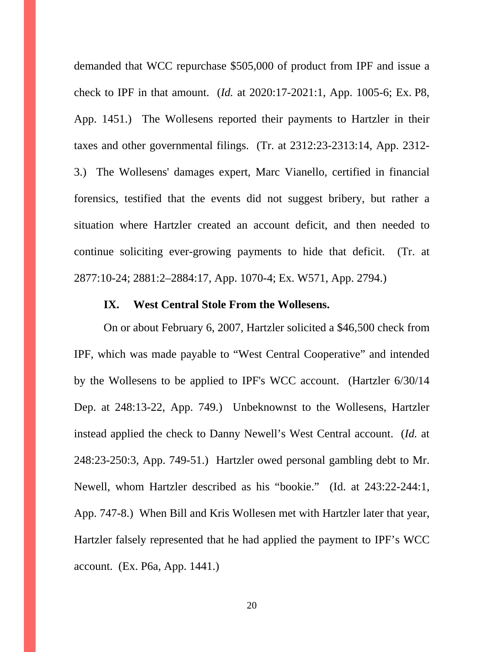demanded that WCC repurchase \$505,000 of product from IPF and issue a check to IPF in that amount. (*Id.* at 2020:17-2021:1, App. 1005-6; Ex. P8, App. 1451.) The Wollesens reported their payments to Hartzler in their taxes and other governmental filings. (Tr. at 2312:23-2313:14, App. 2312- 3.) The Wollesens' damages expert, Marc Vianello, certified in financial forensics, testified that the events did not suggest bribery, but rather a situation where Hartzler created an account deficit, and then needed to continue soliciting ever-growing payments to hide that deficit. (Tr. at 2877:10-24; 2881:2–2884:17, App. 1070-4; Ex. W571, App. 2794.)

#### **IX. West Central Stole From the Wollesens.**

On or about February 6, 2007, Hartzler solicited a \$46,500 check from IPF, which was made payable to "West Central Cooperative" and intended by the Wollesens to be applied to IPF's WCC account. (Hartzler 6/30/14 Dep. at 248:13-22, App. 749.) Unbeknownst to the Wollesens, Hartzler instead applied the check to Danny Newell's West Central account. (*Id.* at 248:23-250:3, App. 749-51.) Hartzler owed personal gambling debt to Mr. Newell, whom Hartzler described as his "bookie." (Id. at 243:22-244:1, App. 747-8.) When Bill and Kris Wollesen met with Hartzler later that year, Hartzler falsely represented that he had applied the payment to IPF's WCC account. (Ex. P6a, App. 1441.)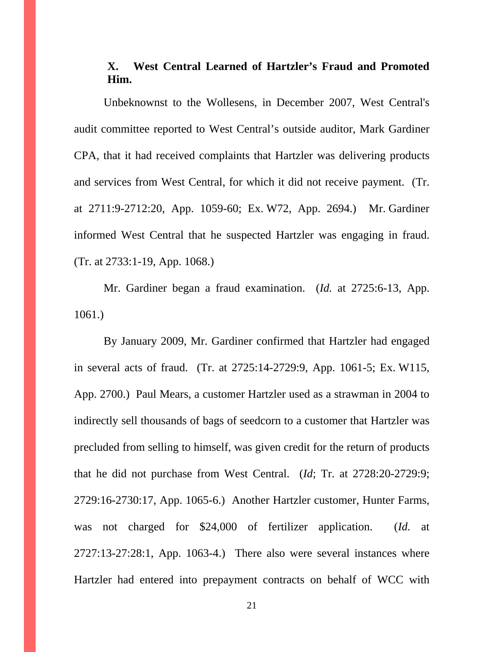# **X. West Central Learned of Hartzler's Fraud and Promoted Him.**

Unbeknownst to the Wollesens, in December 2007, West Central's audit committee reported to West Central's outside auditor, Mark Gardiner CPA, that it had received complaints that Hartzler was delivering products and services from West Central, for which it did not receive payment. (Tr. at 2711:9-2712:20, App. 1059-60; Ex. W72, App. 2694.) Mr. Gardiner informed West Central that he suspected Hartzler was engaging in fraud. (Tr. at 2733:1-19, App. 1068.)

Mr. Gardiner began a fraud examination. (*Id.* at 2725:6-13, App. 1061.)

By January 2009, Mr. Gardiner confirmed that Hartzler had engaged in several acts of fraud. (Tr. at 2725:14-2729:9, App. 1061-5; Ex. W115, App. 2700.) Paul Mears, a customer Hartzler used as a strawman in 2004 to indirectly sell thousands of bags of seedcorn to a customer that Hartzler was precluded from selling to himself, was given credit for the return of products that he did not purchase from West Central. (*Id*; Tr. at 2728:20-2729:9; 2729:16-2730:17, App. 1065-6.) Another Hartzler customer, Hunter Farms, was not charged for \$24,000 of fertilizer application. (*Id*. at 2727:13-27:28:1, App. 1063-4.) There also were several instances where Hartzler had entered into prepayment contracts on behalf of WCC with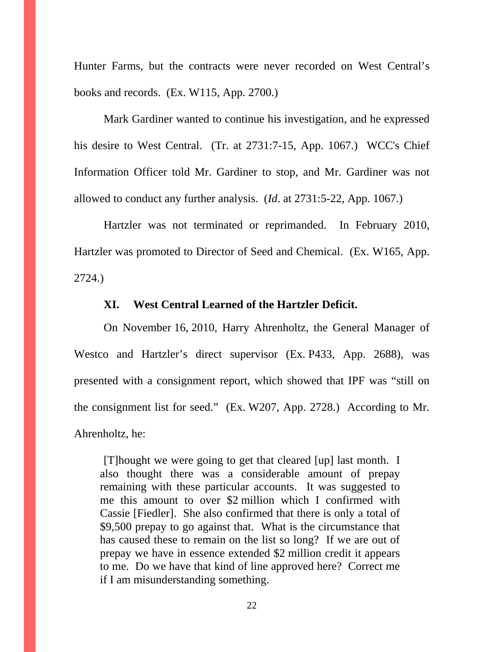Hunter Farms, but the contracts were never recorded on West Central's books and records. (Ex. W115, App. 2700.)

Mark Gardiner wanted to continue his investigation, and he expressed his desire to West Central. (Tr. at 2731:7-15, App. 1067.) WCC's Chief Information Officer told Mr. Gardiner to stop, and Mr. Gardiner was not allowed to conduct any further analysis. (*Id*. at 2731:5-22, App. 1067.)

Hartzler was not terminated or reprimanded. In February 2010, Hartzler was promoted to Director of Seed and Chemical. (Ex. W165, App. 2724.)

## **XI. West Central Learned of the Hartzler Deficit.**

On November 16, 2010, Harry Ahrenholtz, the General Manager of Westco and Hartzler's direct supervisor (Ex. P433, App. 2688), was presented with a consignment report, which showed that IPF was "still on the consignment list for seed." (Ex. W207, App. 2728.) According to Mr. Ahrenholtz, he:

[T]hought we were going to get that cleared [up] last month. I also thought there was a considerable amount of prepay remaining with these particular accounts. It was suggested to me this amount to over \$2 million which I confirmed with Cassie [Fiedler]. She also confirmed that there is only a total of \$9,500 prepay to go against that. What is the circumstance that has caused these to remain on the list so long? If we are out of prepay we have in essence extended \$2 million credit it appears to me. Do we have that kind of line approved here? Correct me if I am misunderstanding something.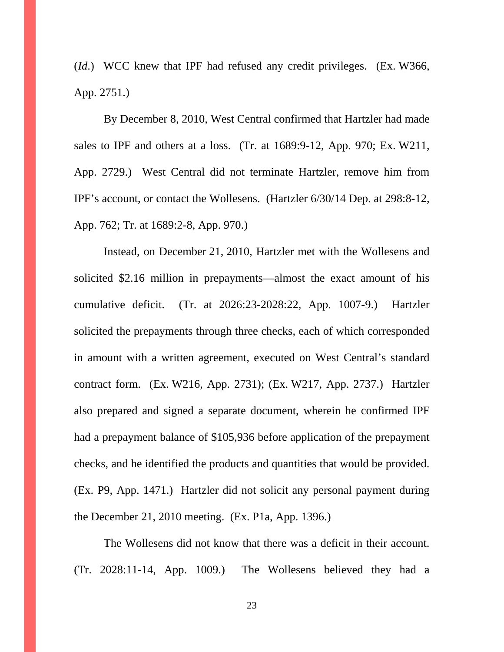(*Id*.) WCC knew that IPF had refused any credit privileges. (Ex. W366, App. 2751.)

By December 8, 2010, West Central confirmed that Hartzler had made sales to IPF and others at a loss. (Tr. at 1689:9-12, App. 970; Ex. W211, App. 2729.) West Central did not terminate Hartzler, remove him from IPF's account, or contact the Wollesens. (Hartzler 6/30/14 Dep. at 298:8-12, App. 762; Tr. at 1689:2-8, App. 970.)

Instead, on December 21, 2010, Hartzler met with the Wollesens and solicited \$2.16 million in prepayments—almost the exact amount of his cumulative deficit. (Tr. at 2026:23-2028:22, App. 1007-9.) Hartzler solicited the prepayments through three checks, each of which corresponded in amount with a written agreement, executed on West Central's standard contract form. (Ex. W216, App. 2731); (Ex. W217, App. 2737.) Hartzler also prepared and signed a separate document, wherein he confirmed IPF had a prepayment balance of \$105,936 before application of the prepayment checks, and he identified the products and quantities that would be provided. (Ex. P9, App. 1471.) Hartzler did not solicit any personal payment during the December 21, 2010 meeting. (Ex. P1a, App. 1396.)

The Wollesens did not know that there was a deficit in their account. (Tr. 2028:11-14, App. 1009.) The Wollesens believed they had a

23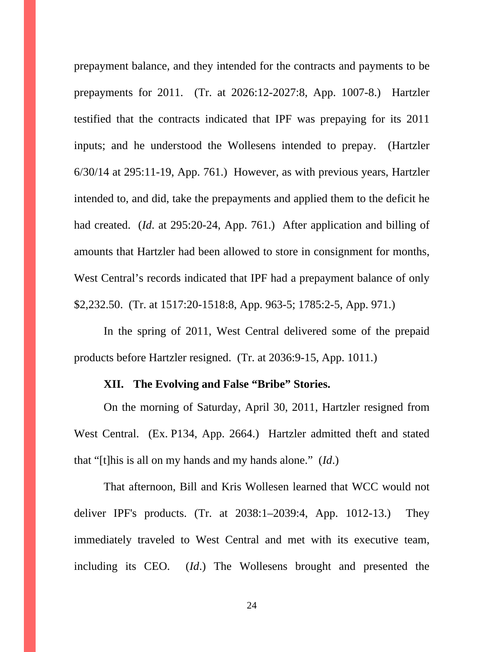prepayment balance, and they intended for the contracts and payments to be prepayments for 2011. (Tr. at 2026:12-2027:8, App. 1007-8.) Hartzler testified that the contracts indicated that IPF was prepaying for its 2011 inputs; and he understood the Wollesens intended to prepay. (Hartzler 6/30/14 at 295:11-19, App. 761.) However, as with previous years, Hartzler intended to, and did, take the prepayments and applied them to the deficit he had created. (*Id*. at 295:20-24, App. 761.)After application and billing of amounts that Hartzler had been allowed to store in consignment for months, West Central's records indicated that IPF had a prepayment balance of only \$2,232.50. (Tr. at 1517:20-1518:8, App. 963-5; 1785:2-5, App. 971.)

In the spring of 2011, West Central delivered some of the prepaid products before Hartzler resigned. (Tr. at 2036:9-15, App. 1011.)

## **XII. The Evolving and False "Bribe" Stories.**

On the morning of Saturday, April 30, 2011, Hartzler resigned from West Central. (Ex. P134, App. 2664.) Hartzler admitted theft and stated that "[t]his is all on my hands and my hands alone." (*Id*.)

That afternoon, Bill and Kris Wollesen learned that WCC would not deliver IPF's products. (Tr. at 2038:1–2039:4, App. 1012-13.) They immediately traveled to West Central and met with its executive team, including its CEO. (*Id*.) The Wollesens brought and presented the

24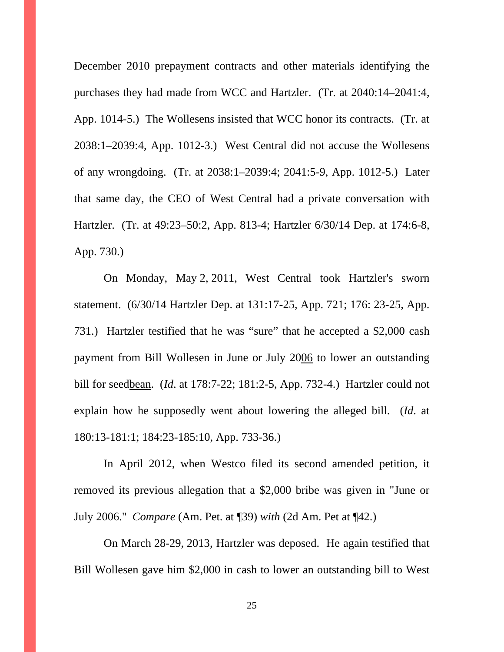December 2010 prepayment contracts and other materials identifying the purchases they had made from WCC and Hartzler. (Tr. at 2040:14–2041:4, App. 1014-5.) The Wollesens insisted that WCC honor its contracts. (Tr. at 2038:1–2039:4, App. 1012-3.) West Central did not accuse the Wollesens of any wrongdoing. (Tr. at 2038:1–2039:4; 2041:5-9, App. 1012-5.) Later that same day, the CEO of West Central had a private conversation with Hartzler. (Tr. at 49:23–50:2, App. 813-4; Hartzler 6/30/14 Dep. at 174:6-8, App. 730.)

On Monday, May 2, 2011, West Central took Hartzler's sworn statement. (6/30/14 Hartzler Dep. at 131:17-25, App. 721; 176: 23-25, App. 731.) Hartzler testified that he was "sure" that he accepted a \$2,000 cash payment from Bill Wollesen in June or July 2006 to lower an outstanding bill for seedbean. (*Id*. at 178:7-22; 181:2-5, App. 732-4.) Hartzler could not explain how he supposedly went about lowering the alleged bill. (*Id*. at 180:13-181:1; 184:23-185:10, App. 733-36.)

In April 2012, when Westco filed its second amended petition, it removed its previous allegation that a \$2,000 bribe was given in "June or July 2006." *Compare* (Am. Pet. at ¶39) *with* (2d Am. Pet at ¶42.)

On March 28-29, 2013, Hartzler was deposed. He again testified that Bill Wollesen gave him \$2,000 in cash to lower an outstanding bill to West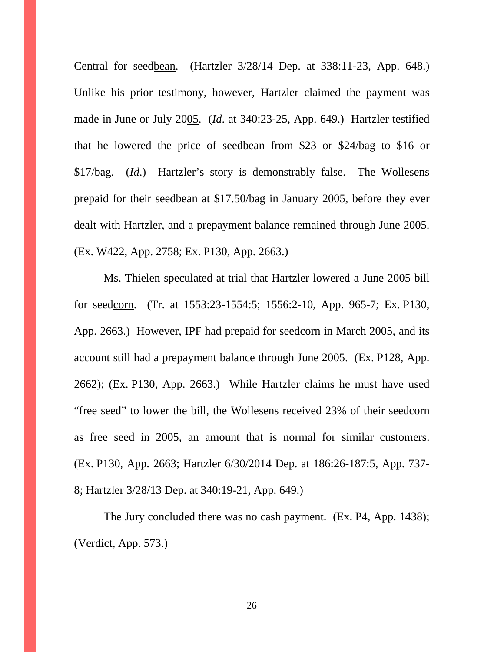Central for seedbean. (Hartzler 3/28/14 Dep. at 338:11-23, App. 648.) Unlike his prior testimony, however, Hartzler claimed the payment was made in June or July 2005. (*Id*. at 340:23-25, App. 649.) Hartzler testified that he lowered the price of seedbean from \$23 or \$24/bag to \$16 or \$17/bag. (*Id*.) Hartzler's story is demonstrably false. The Wollesens prepaid for their seedbean at \$17.50/bag in January 2005, before they ever dealt with Hartzler, and a prepayment balance remained through June 2005. (Ex. W422, App. 2758; Ex. P130, App. 2663.)

Ms. Thielen speculated at trial that Hartzler lowered a June 2005 bill for seedcorn. (Tr. at 1553:23-1554:5; 1556:2-10, App. 965-7; Ex. P130, App. 2663.) However, IPF had prepaid for seedcorn in March 2005, and its account still had a prepayment balance through June 2005. (Ex. P128, App. 2662); (Ex. P130, App. 2663.) While Hartzler claims he must have used "free seed" to lower the bill, the Wollesens received 23% of their seedcorn as free seed in 2005, an amount that is normal for similar customers. (Ex. P130, App. 2663; Hartzler 6/30/2014 Dep. at 186:26-187:5, App. 737- 8; Hartzler 3/28/13 Dep. at 340:19-21, App. 649.)

The Jury concluded there was no cash payment. (Ex. P4, App. 1438); (Verdict, App. 573.)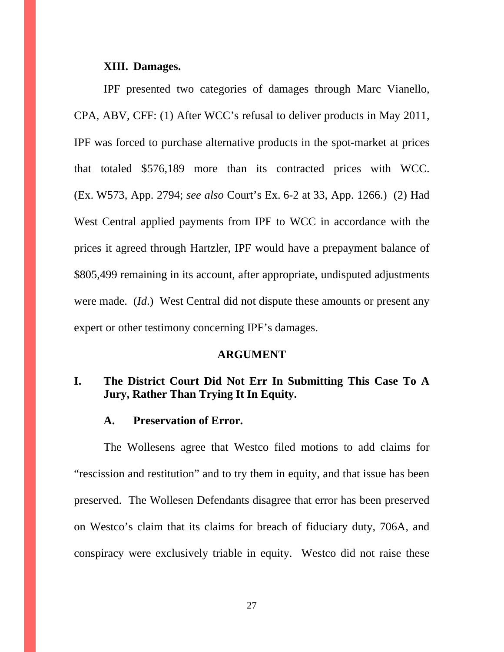#### **XIII. Damages.**

IPF presented two categories of damages through Marc Vianello, CPA, ABV, CFF: (1) After WCC's refusal to deliver products in May 2011, IPF was forced to purchase alternative products in the spot-market at prices that totaled \$576,189 more than its contracted prices with WCC. (Ex. W573, App. 2794; *see also* Court's Ex. 6-2 at 33, App. 1266.) (2) Had West Central applied payments from IPF to WCC in accordance with the prices it agreed through Hartzler, IPF would have a prepayment balance of \$805,499 remaining in its account, after appropriate, undisputed adjustments were made. (*Id*.) West Central did not dispute these amounts or present any expert or other testimony concerning IPF's damages.

#### **ARGUMENT**

# **I. The District Court Did Not Err In Submitting This Case To A Jury, Rather Than Trying It In Equity.**

#### **A. Preservation of Error.**

 The Wollesens agree that Westco filed motions to add claims for "rescission and restitution" and to try them in equity, and that issue has been preserved. The Wollesen Defendants disagree that error has been preserved on Westco's claim that its claims for breach of fiduciary duty, 706A, and conspiracy were exclusively triable in equity. Westco did not raise these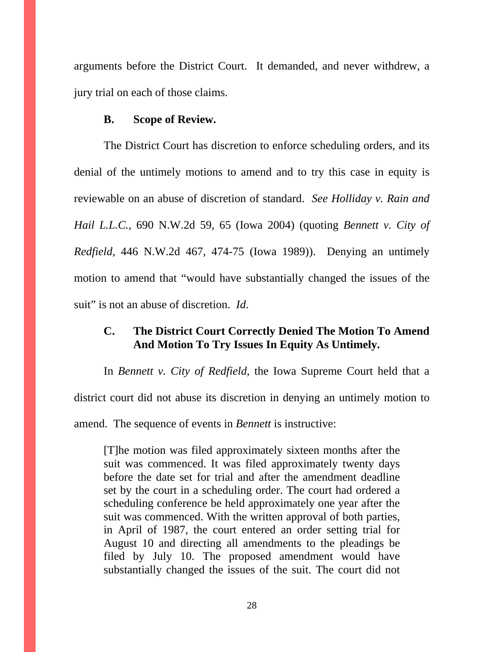arguments before the District Court. It demanded, and never withdrew, a jury trial on each of those claims.

#### **B. Scope of Review.**

 The District Court has discretion to enforce scheduling orders, and its denial of the untimely motions to amend and to try this case in equity is reviewable on an abuse of discretion of standard. *See Holliday v. Rain and Hail L.L.C.*, 690 N.W.2d 59, 65 (Iowa 2004) (quoting *Bennett v. City of Redfield*, 446 N.W.2d 467, 474-75 (Iowa 1989)). Denying an untimely motion to amend that "would have substantially changed the issues of the suit" is not an abuse of discretion. *Id*.

### **C. The District Court Correctly Denied The Motion To Amend And Motion To Try Issues In Equity As Untimely.**

 In *Bennett v. City of Redfield*, the Iowa Supreme Court held that a district court did not abuse its discretion in denying an untimely motion to amend. The sequence of events in *Bennett* is instructive:

[T]he motion was filed approximately sixteen months after the suit was commenced. It was filed approximately twenty days before the date set for trial and after the amendment deadline set by the court in a scheduling order. The court had ordered a scheduling conference be held approximately one year after the suit was commenced. With the written approval of both parties, in April of 1987, the court entered an order setting trial for August 10 and directing all amendments to the pleadings be filed by July 10. The proposed amendment would have substantially changed the issues of the suit. The court did not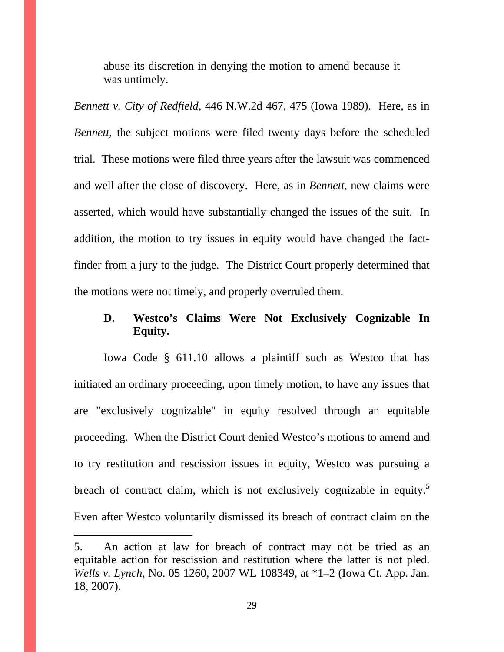abuse its discretion in denying the motion to amend because it was untimely.

*Bennett v. City of Redfield*, 446 N.W.2d 467, 475 (Iowa 1989). Here, as in *Bennett*, the subject motions were filed twenty days before the scheduled trial. These motions were filed three years after the lawsuit was commenced and well after the close of discovery. Here, as in *Bennett*, new claims were asserted, which would have substantially changed the issues of the suit. In addition, the motion to try issues in equity would have changed the factfinder from a jury to the judge. The District Court properly determined that the motions were not timely, and properly overruled them.

# **D. Westco's Claims Were Not Exclusively Cognizable In Equity.**

Iowa Code § 611.10 allows a plaintiff such as Westco that has initiated an ordinary proceeding, upon timely motion, to have any issues that are "exclusively cognizable" in equity resolved through an equitable proceeding. When the District Court denied Westco's motions to amend and to try restitution and rescission issues in equity, Westco was pursuing a breach of contract claim, which is not exclusively cognizable in equity.<sup>5</sup> Even after Westco voluntarily dismissed its breach of contract claim on the

 $\overline{a}$ 

<sup>5.</sup> An action at law for breach of contract may not be tried as an equitable action for rescission and restitution where the latter is not pled. *Wells v. Lynch*, No. 05 1260, 2007 WL 108349, at \*1–2 (Iowa Ct. App. Jan. 18, 2007).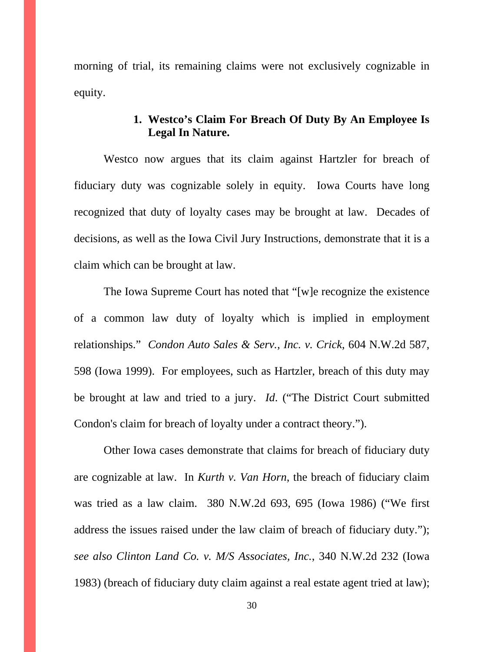morning of trial, its remaining claims were not exclusively cognizable in equity.

## **1. Westco's Claim For Breach Of Duty By An Employee Is Legal In Nature.**

Westco now argues that its claim against Hartzler for breach of fiduciary duty was cognizable solely in equity. Iowa Courts have long recognized that duty of loyalty cases may be brought at law. Decades of decisions, as well as the Iowa Civil Jury Instructions, demonstrate that it is a claim which can be brought at law.

The Iowa Supreme Court has noted that "[w]e recognize the existence of a common law duty of loyalty which is implied in employment relationships." *Condon Auto Sales & Serv., Inc. v. Crick*, 604 N.W.2d 587, 598 (Iowa 1999). For employees, such as Hartzler, breach of this duty may be brought at law and tried to a jury. *Id*. ("The District Court submitted Condon's claim for breach of loyalty under a contract theory.").

Other Iowa cases demonstrate that claims for breach of fiduciary duty are cognizable at law. In *Kurth v. Van Horn*, the breach of fiduciary claim was tried as a law claim. 380 N.W.2d 693, 695 (Iowa 1986) ("We first address the issues raised under the law claim of breach of fiduciary duty."); *see also Clinton Land Co. v. M/S Associates, Inc.*, 340 N.W.2d 232 (Iowa 1983) (breach of fiduciary duty claim against a real estate agent tried at law);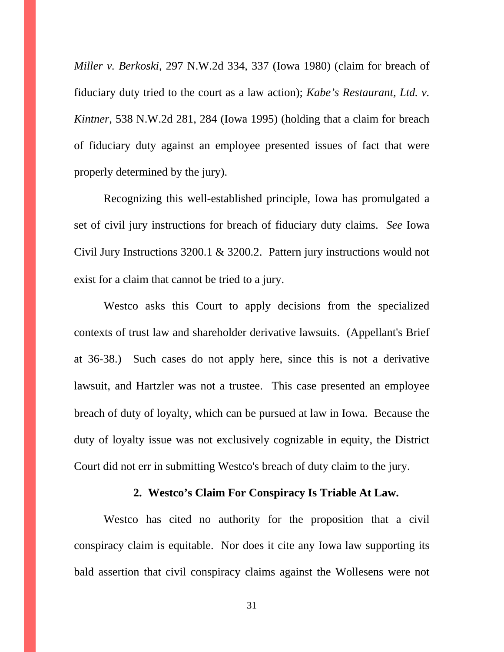*Miller v. Berkoski*, 297 N.W.2d 334, 337 (Iowa 1980) (claim for breach of fiduciary duty tried to the court as a law action); *Kabe's Restaurant, Ltd. v. Kintner*, 538 N.W.2d 281, 284 (Iowa 1995) (holding that a claim for breach of fiduciary duty against an employee presented issues of fact that were properly determined by the jury).

Recognizing this well-established principle, Iowa has promulgated a set of civil jury instructions for breach of fiduciary duty claims. *See* Iowa Civil Jury Instructions 3200.1 & 3200.2. Pattern jury instructions would not exist for a claim that cannot be tried to a jury.

Westco asks this Court to apply decisions from the specialized contexts of trust law and shareholder derivative lawsuits. (Appellant's Brief at 36-38.) Such cases do not apply here, since this is not a derivative lawsuit, and Hartzler was not a trustee. This case presented an employee breach of duty of loyalty, which can be pursued at law in Iowa. Because the duty of loyalty issue was not exclusively cognizable in equity, the District Court did not err in submitting Westco's breach of duty claim to the jury.

#### **2. Westco's Claim For Conspiracy Is Triable At Law.**

Westco has cited no authority for the proposition that a civil conspiracy claim is equitable. Nor does it cite any Iowa law supporting its bald assertion that civil conspiracy claims against the Wollesens were not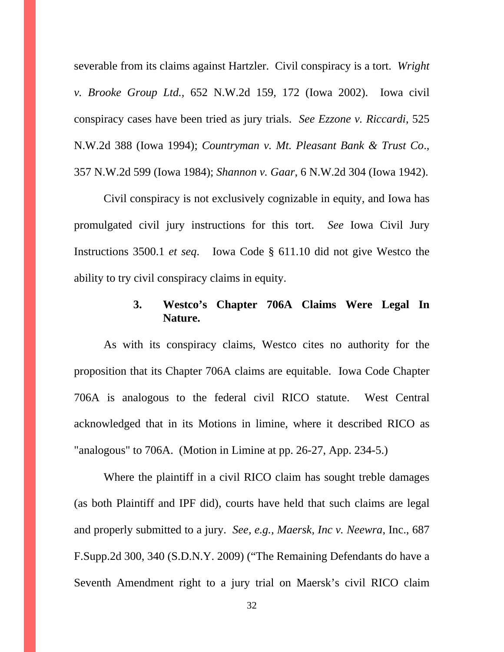severable from its claims against Hartzler. Civil conspiracy is a tort. *Wright v. Brooke Group Ltd.,* 652 N.W.2d 159, 172 (Iowa 2002). Iowa civil conspiracy cases have been tried as jury trials. *See Ezzone v. Riccardi*, 525 N.W.2d 388 (Iowa 1994); *Countryman v. Mt. Pleasant Bank & Trust Co*., 357 N.W.2d 599 (Iowa 1984); *Shannon v. Gaar*, 6 N.W.2d 304 (Iowa 1942).

Civil conspiracy is not exclusively cognizable in equity, and Iowa has promulgated civil jury instructions for this tort. *See* Iowa Civil Jury Instructions 3500.1 *et seq*. Iowa Code § 611.10 did not give Westco the ability to try civil conspiracy claims in equity.

## **3. Westco's Chapter 706A Claims Were Legal In Nature.**

 As with its conspiracy claims, Westco cites no authority for the proposition that its Chapter 706A claims are equitable. Iowa Code Chapter 706A is analogous to the federal civil RICO statute. West Central acknowledged that in its Motions in limine, where it described RICO as "analogous" to 706A. (Motion in Limine at pp. 26-27, App. 234-5.)

Where the plaintiff in a civil RICO claim has sought treble damages (as both Plaintiff and IPF did), courts have held that such claims are legal and properly submitted to a jury. *See, e.g., Maersk, Inc v. Neewra*, Inc., 687 F.Supp.2d 300, 340 (S.D.N.Y. 2009) ("The Remaining Defendants do have a Seventh Amendment right to a jury trial on Maersk's civil RICO claim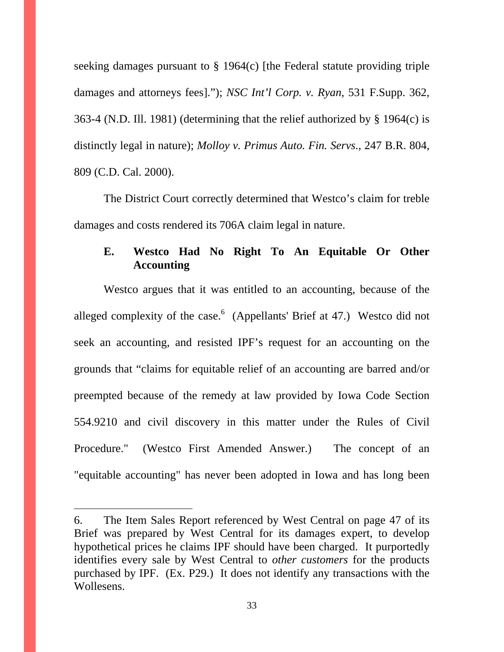seeking damages pursuant to § 1964(c) [the Federal statute providing triple damages and attorneys fees]."); *NSC Int'l Corp. v. Ryan*, 531 F.Supp. 362, 363-4 (N.D. Ill. 1981) (determining that the relief authorized by § 1964(c) is distinctly legal in nature); *Molloy v. Primus Auto. Fin. Servs*., 247 B.R. 804, 809 (C.D. Cal. 2000).

The District Court correctly determined that Westco's claim for treble damages and costs rendered its 706A claim legal in nature.

# **E. Westco Had No Right To An Equitable Or Other Accounting**

Westco argues that it was entitled to an accounting, because of the alleged complexity of the case.  $\binom{6}{4}$  (Appellants' Brief at 47.) Westco did not seek an accounting, and resisted IPF's request for an accounting on the grounds that "claims for equitable relief of an accounting are barred and/or preempted because of the remedy at law provided by Iowa Code Section 554.9210 and civil discovery in this matter under the Rules of Civil Procedure." (Westco First Amended Answer.) The concept of an "equitable accounting" has never been adopted in Iowa and has long been

 $\overline{a}$ 

<sup>6.</sup> The Item Sales Report referenced by West Central on page 47 of its Brief was prepared by West Central for its damages expert, to develop hypothetical prices he claims IPF should have been charged. It purportedly identifies every sale by West Central to *other customers* for the products purchased by IPF. (Ex. P29.) It does not identify any transactions with the Wollesens.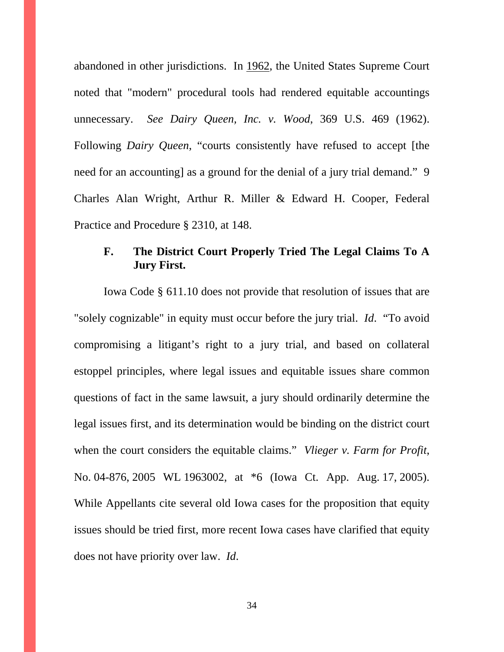abandoned in other jurisdictions. In 1962, the United States Supreme Court noted that "modern" procedural tools had rendered equitable accountings unnecessary. *See Dairy Queen, Inc. v. Wood*, 369 U.S. 469 (1962). Following *Dairy Queen*, "courts consistently have refused to accept [the need for an accounting] as a ground for the denial of a jury trial demand." 9 Charles Alan Wright, Arthur R. Miller & Edward H. Cooper, Federal Practice and Procedure § 2310, at 148.

# **F. The District Court Properly Tried The Legal Claims To A Jury First.**

 Iowa Code § 611.10 does not provide that resolution of issues that are "solely cognizable" in equity must occur before the jury trial. *Id*. "To avoid compromising a litigant's right to a jury trial, and based on collateral estoppel principles, where legal issues and equitable issues share common questions of fact in the same lawsuit, a jury should ordinarily determine the legal issues first, and its determination would be binding on the district court when the court considers the equitable claims." *Vlieger v. Farm for Profit*, No. 04-876, 2005 WL 1963002, at \*6 (Iowa Ct. App. Aug. 17, 2005). While Appellants cite several old Iowa cases for the proposition that equity issues should be tried first, more recent Iowa cases have clarified that equity does not have priority over law. *Id*.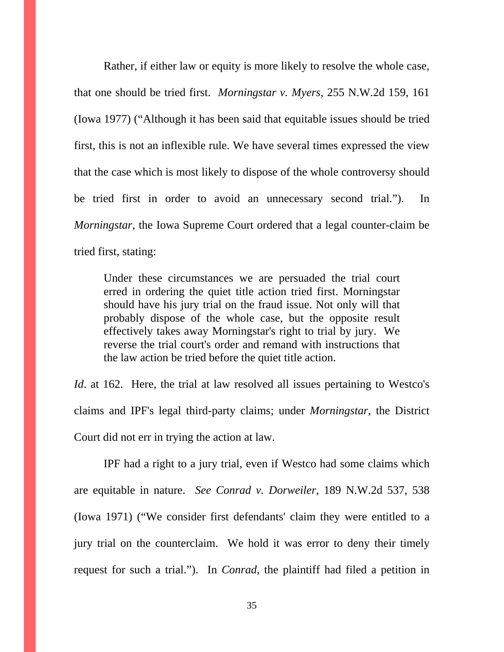Rather, if either law or equity is more likely to resolve the whole case, that one should be tried first. *Morningstar v. Myers*, 255 N.W.2d 159, 161 (Iowa 1977) ("Although it has been said that equitable issues should be tried first, this is not an inflexible rule. We have several times expressed the view that the case which is most likely to dispose of the whole controversy should be tried first in order to avoid an unnecessary second trial."). In *Morningstar*, the Iowa Supreme Court ordered that a legal counter-claim be tried first, stating:

Under these circumstances we are persuaded the trial court erred in ordering the quiet title action tried first. Morningstar should have his jury trial on the fraud issue. Not only will that probably dispose of the whole case, but the opposite result effectively takes away Morningstar's right to trial by jury. We reverse the trial court's order and remand with instructions that the law action be tried before the quiet title action.

*Id.* at 162. Here, the trial at law resolved all issues pertaining to Westco's claims and IPF's legal third-party claims; under *Morningstar*, the District Court did not err in trying the action at law.

IPF had a right to a jury trial, even if Westco had some claims which are equitable in nature. *See Conrad v. Dorweiler*, 189 N.W.2d 537, 538 (Iowa 1971) ("We consider first defendants' claim they were entitled to a jury trial on the counterclaim. We hold it was error to deny their timely request for such a trial."). In *Conrad*, the plaintiff had filed a petition in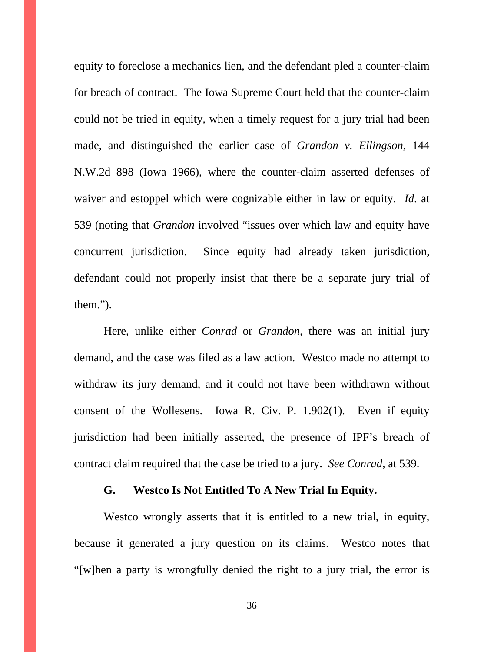equity to foreclose a mechanics lien, and the defendant pled a counter-claim for breach of contract. The Iowa Supreme Court held that the counter-claim could not be tried in equity, when a timely request for a jury trial had been made, and distinguished the earlier case of *Grandon v. Ellingson*, 144 N.W.2d 898 (Iowa 1966), where the counter-claim asserted defenses of waiver and estoppel which were cognizable either in law or equity. *Id*. at 539 (noting that *Grandon* involved "issues over which law and equity have concurrent jurisdiction. Since equity had already taken jurisdiction, defendant could not properly insist that there be a separate jury trial of them.").

Here, unlike either *Conrad* or *Grandon*, there was an initial jury demand, and the case was filed as a law action. Westco made no attempt to withdraw its jury demand, and it could not have been withdrawn without consent of the Wollesens. Iowa R. Civ. P. 1.902(1). Even if equity jurisdiction had been initially asserted, the presence of IPF's breach of contract claim required that the case be tried to a jury. *See Conrad*, at 539.

### **G. Westco Is Not Entitled To A New Trial In Equity.**

 Westco wrongly asserts that it is entitled to a new trial, in equity, because it generated a jury question on its claims. Westco notes that "[w]hen a party is wrongfully denied the right to a jury trial, the error is

36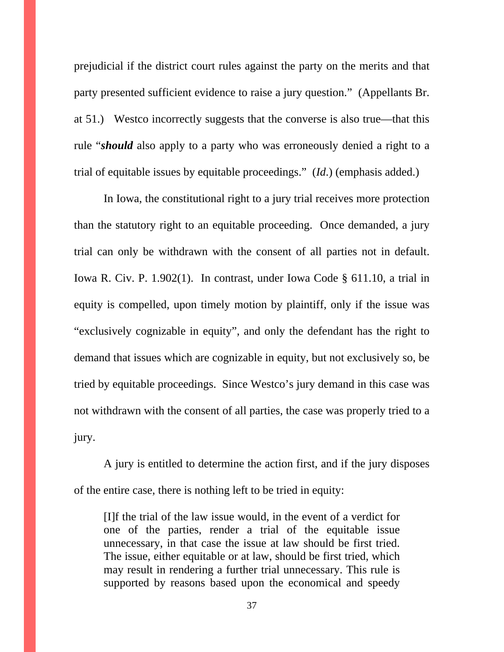prejudicial if the district court rules against the party on the merits and that party presented sufficient evidence to raise a jury question." (Appellants Br. at 51.) Westco incorrectly suggests that the converse is also true—that this rule "*should* also apply to a party who was erroneously denied a right to a trial of equitable issues by equitable proceedings." (*Id*.) (emphasis added.)

In Iowa, the constitutional right to a jury trial receives more protection than the statutory right to an equitable proceeding. Once demanded, a jury trial can only be withdrawn with the consent of all parties not in default. Iowa R. Civ. P. 1.902(1). In contrast, under Iowa Code § 611.10, a trial in equity is compelled, upon timely motion by plaintiff, only if the issue was "exclusively cognizable in equity", and only the defendant has the right to demand that issues which are cognizable in equity, but not exclusively so, be tried by equitable proceedings. Since Westco's jury demand in this case was not withdrawn with the consent of all parties, the case was properly tried to a jury.

A jury is entitled to determine the action first, and if the jury disposes of the entire case, there is nothing left to be tried in equity:

[I]f the trial of the law issue would, in the event of a verdict for one of the parties, render a trial of the equitable issue unnecessary, in that case the issue at law should be first tried. The issue, either equitable or at law, should be first tried, which may result in rendering a further trial unnecessary. This rule is supported by reasons based upon the economical and speedy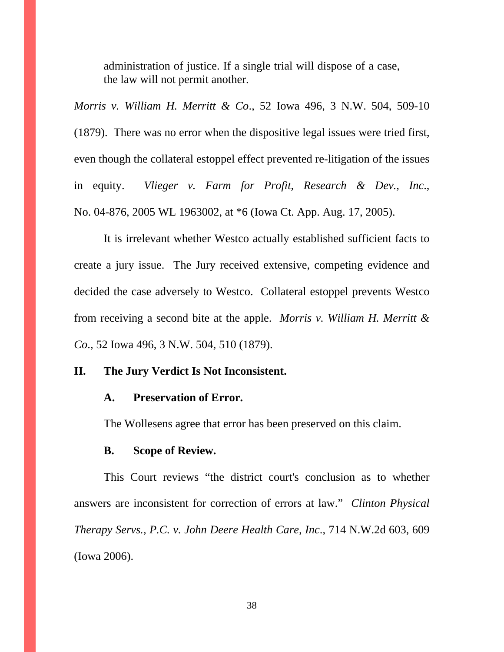administration of justice. If a single trial will dispose of a case, the law will not permit another.

*Morris v. William H. Merritt & Co*., 52 Iowa 496, 3 N.W. 504, 509-10 (1879). There was no error when the dispositive legal issues were tried first, even though the collateral estoppel effect prevented re-litigation of the issues in equity. *Vlieger v. Farm for Profit, Research & Dev., Inc*., No. 04-876, 2005 WL 1963002, at \*6 (Iowa Ct. App. Aug. 17, 2005).

 It is irrelevant whether Westco actually established sufficient facts to create a jury issue. The Jury received extensive, competing evidence and decided the case adversely to Westco. Collateral estoppel prevents Westco from receiving a second bite at the apple. *Morris v. William H. Merritt & Co*., 52 Iowa 496, 3 N.W. 504, 510 (1879).

### **II. The Jury Verdict Is Not Inconsistent.**

### **A. Preservation of Error.**

The Wollesens agree that error has been preserved on this claim.

#### **B. Scope of Review.**

 This Court reviews "the district court's conclusion as to whether answers are inconsistent for correction of errors at law." *Clinton Physical Therapy Servs., P.C. v. John Deere Health Care, Inc*., 714 N.W.2d 603, 609 (Iowa 2006).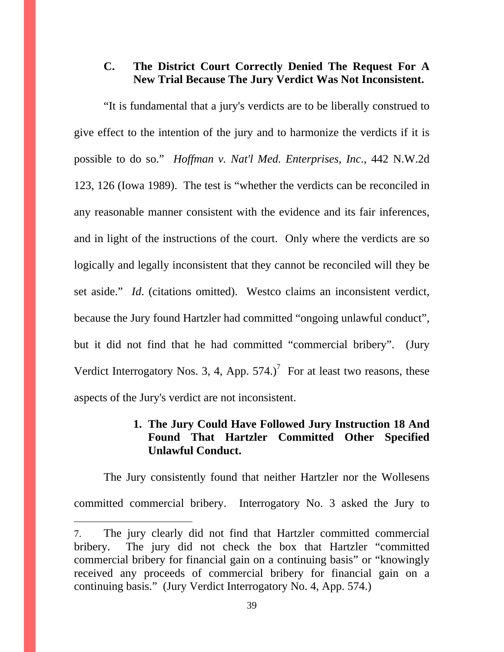## **C. The District Court Correctly Denied The Request For A New Trial Because The Jury Verdict Was Not Inconsistent.**

 "It is fundamental that a jury's verdicts are to be liberally construed to give effect to the intention of the jury and to harmonize the verdicts if it is possible to do so." *Hoffman v. Nat'l Med. Enterprises, Inc*., 442 N.W.2d 123, 126 (Iowa 1989). The test is "whether the verdicts can be reconciled in any reasonable manner consistent with the evidence and its fair inferences, and in light of the instructions of the court. Only where the verdicts are so logically and legally inconsistent that they cannot be reconciled will they be set aside." *Id*. (citations omitted). Westco claims an inconsistent verdict, because the Jury found Hartzler had committed "ongoing unlawful conduct", but it did not find that he had committed "commercial bribery". (Jury Verdict Interrogatory Nos. 3, 4, App.  $574$ .)<sup>7</sup> For at least two reasons, these aspects of the Jury's verdict are not inconsistent.

### **1. The Jury Could Have Followed Jury Instruction 18 And Found That Hartzler Committed Other Specified Unlawful Conduct.**

The Jury consistently found that neither Hartzler nor the Wollesens committed commercial bribery. Interrogatory No. 3 asked the Jury to

 $\overline{a}$ 

<sup>7.</sup> The jury clearly did not find that Hartzler committed commercial bribery. The jury did not check the box that Hartzler "committed commercial bribery for financial gain on a continuing basis" or "knowingly received any proceeds of commercial bribery for financial gain on a continuing basis." (Jury Verdict Interrogatory No. 4, App. 574.)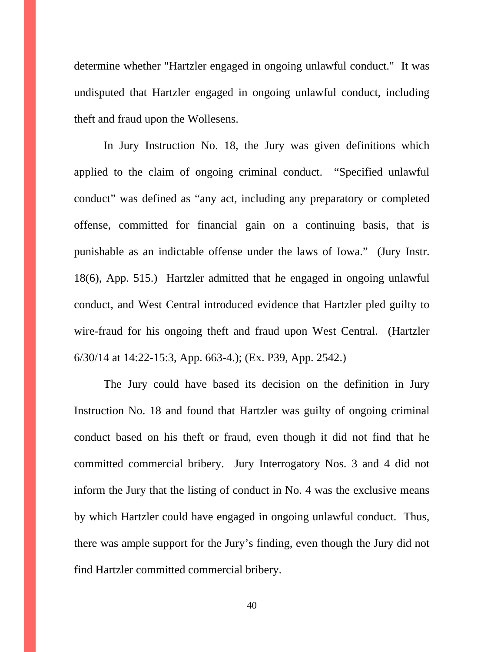determine whether "Hartzler engaged in ongoing unlawful conduct." It was undisputed that Hartzler engaged in ongoing unlawful conduct, including theft and fraud upon the Wollesens.

In Jury Instruction No. 18, the Jury was given definitions which applied to the claim of ongoing criminal conduct. "Specified unlawful conduct" was defined as "any act, including any preparatory or completed offense, committed for financial gain on a continuing basis, that is punishable as an indictable offense under the laws of Iowa." (Jury Instr. 18(6), App. 515.) Hartzler admitted that he engaged in ongoing unlawful conduct, and West Central introduced evidence that Hartzler pled guilty to wire-fraud for his ongoing theft and fraud upon West Central. (Hartzler 6/30/14 at 14:22-15:3, App. 663-4.); (Ex. P39, App. 2542.)

The Jury could have based its decision on the definition in Jury Instruction No. 18 and found that Hartzler was guilty of ongoing criminal conduct based on his theft or fraud, even though it did not find that he committed commercial bribery. Jury Interrogatory Nos. 3 and 4 did not inform the Jury that the listing of conduct in No. 4 was the exclusive means by which Hartzler could have engaged in ongoing unlawful conduct. Thus, there was ample support for the Jury's finding, even though the Jury did not find Hartzler committed commercial bribery.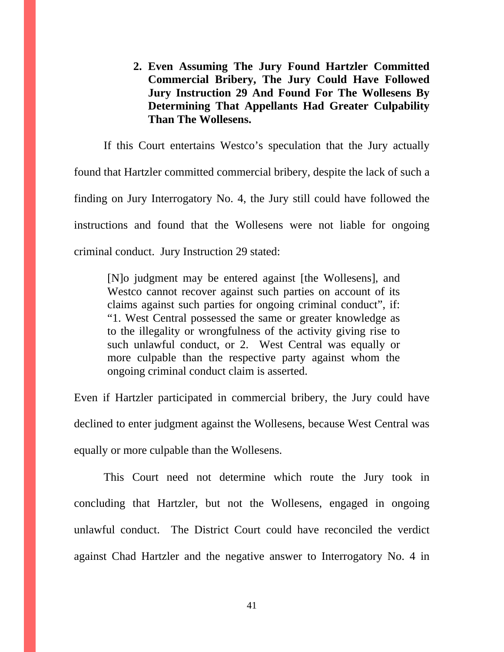**2. Even Assuming The Jury Found Hartzler Committed Commercial Bribery, The Jury Could Have Followed Jury Instruction 29 And Found For The Wollesens By Determining That Appellants Had Greater Culpability Than The Wollesens.** 

If this Court entertains Westco's speculation that the Jury actually found that Hartzler committed commercial bribery, despite the lack of such a finding on Jury Interrogatory No. 4, the Jury still could have followed the instructions and found that the Wollesens were not liable for ongoing criminal conduct. Jury Instruction 29 stated:

[N]o judgment may be entered against [the Wollesens], and Westco cannot recover against such parties on account of its claims against such parties for ongoing criminal conduct", if: "1. West Central possessed the same or greater knowledge as to the illegality or wrongfulness of the activity giving rise to such unlawful conduct, or 2. West Central was equally or more culpable than the respective party against whom the ongoing criminal conduct claim is asserted.

Even if Hartzler participated in commercial bribery, the Jury could have declined to enter judgment against the Wollesens, because West Central was equally or more culpable than the Wollesens.

This Court need not determine which route the Jury took in concluding that Hartzler, but not the Wollesens, engaged in ongoing unlawful conduct. The District Court could have reconciled the verdict against Chad Hartzler and the negative answer to Interrogatory No. 4 in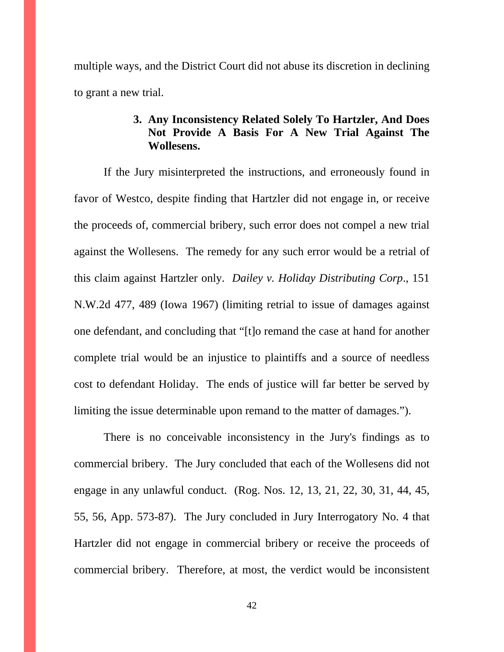multiple ways, and the District Court did not abuse its discretion in declining to grant a new trial.

## **3. Any Inconsistency Related Solely To Hartzler, And Does Not Provide A Basis For A New Trial Against The Wollesens.**

If the Jury misinterpreted the instructions, and erroneously found in favor of Westco, despite finding that Hartzler did not engage in, or receive the proceeds of, commercial bribery, such error does not compel a new trial against the Wollesens. The remedy for any such error would be a retrial of this claim against Hartzler only. *Dailey v. Holiday Distributing Corp*., 151 N.W.2d 477, 489 (Iowa 1967) (limiting retrial to issue of damages against one defendant, and concluding that "[t]o remand the case at hand for another complete trial would be an injustice to plaintiffs and a source of needless cost to defendant Holiday. The ends of justice will far better be served by limiting the issue determinable upon remand to the matter of damages.").

There is no conceivable inconsistency in the Jury's findings as to commercial bribery. The Jury concluded that each of the Wollesens did not engage in any unlawful conduct. (Rog. Nos. 12, 13, 21, 22, 30, 31, 44, 45, 55, 56, App. 573-87). The Jury concluded in Jury Interrogatory No. 4 that Hartzler did not engage in commercial bribery or receive the proceeds of commercial bribery. Therefore, at most, the verdict would be inconsistent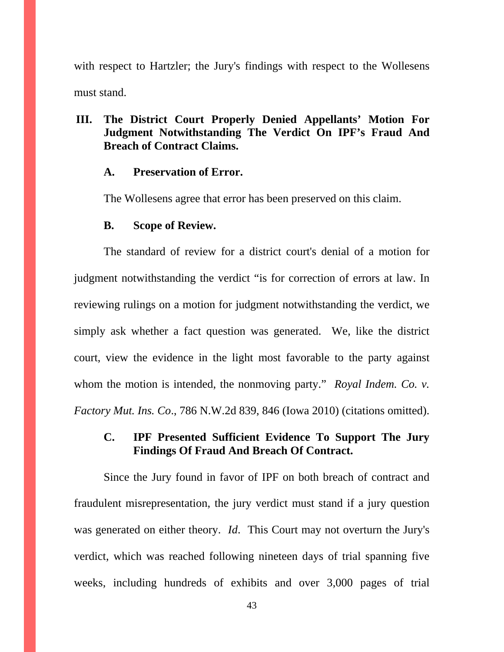with respect to Hartzler; the Jury's findings with respect to the Wollesens must stand.

# **III. The District Court Properly Denied Appellants' Motion For Judgment Notwithstanding The Verdict On IPF's Fraud And Breach of Contract Claims.**

#### **A. Preservation of Error.**

The Wollesens agree that error has been preserved on this claim.

### **B. Scope of Review.**

The standard of review for a district court's denial of a motion for judgment notwithstanding the verdict "is for correction of errors at law. In reviewing rulings on a motion for judgment notwithstanding the verdict, we simply ask whether a fact question was generated. We, like the district court, view the evidence in the light most favorable to the party against whom the motion is intended, the nonmoving party." *Royal Indem. Co. v. Factory Mut. Ins. Co*., 786 N.W.2d 839, 846 (Iowa 2010) (citations omitted).

## **C. IPF Presented Sufficient Evidence To Support The Jury Findings Of Fraud And Breach Of Contract.**

Since the Jury found in favor of IPF on both breach of contract and fraudulent misrepresentation, the jury verdict must stand if a jury question was generated on either theory. *Id*. This Court may not overturn the Jury's verdict, which was reached following nineteen days of trial spanning five weeks, including hundreds of exhibits and over 3,000 pages of trial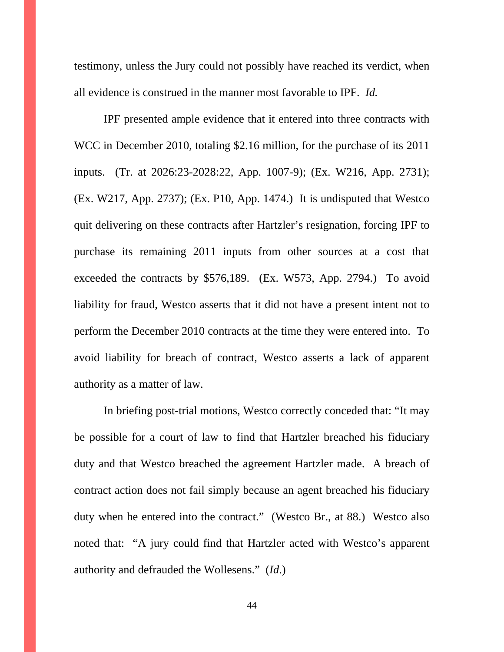testimony, unless the Jury could not possibly have reached its verdict, when all evidence is construed in the manner most favorable to IPF. *Id.* 

IPF presented ample evidence that it entered into three contracts with WCC in December 2010, totaling \$2.16 million, for the purchase of its 2011 inputs. (Tr. at 2026:23-2028:22, App. 1007-9); (Ex. W216, App. 2731); (Ex. W217, App. 2737); (Ex. P10, App. 1474.) It is undisputed that Westco quit delivering on these contracts after Hartzler's resignation, forcing IPF to purchase its remaining 2011 inputs from other sources at a cost that exceeded the contracts by \$576,189. (Ex. W573, App. 2794.) To avoid liability for fraud, Westco asserts that it did not have a present intent not to perform the December 2010 contracts at the time they were entered into. To avoid liability for breach of contract, Westco asserts a lack of apparent authority as a matter of law.

In briefing post-trial motions, Westco correctly conceded that: "It may be possible for a court of law to find that Hartzler breached his fiduciary duty and that Westco breached the agreement Hartzler made. A breach of contract action does not fail simply because an agent breached his fiduciary duty when he entered into the contract." (Westco Br., at 88.) Westco also noted that: "A jury could find that Hartzler acted with Westco's apparent authority and defrauded the Wollesens." (*Id*.)

44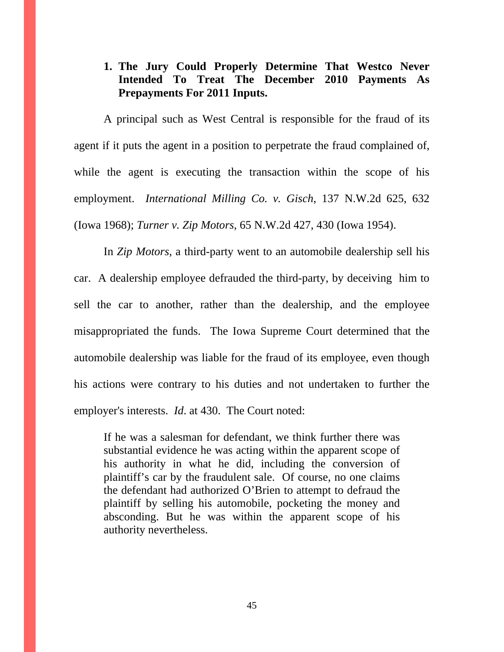## **1. The Jury Could Properly Determine That Westco Never Intended To Treat The December 2010 Payments As Prepayments For 2011 Inputs.**

A principal such as West Central is responsible for the fraud of its agent if it puts the agent in a position to perpetrate the fraud complained of, while the agent is executing the transaction within the scope of his employment. *International Milling Co. v. Gisch*, 137 N.W.2d 625, 632 (Iowa 1968); *Turner v. Zip Motors*, 65 N.W.2d 427, 430 (Iowa 1954).

In *Zip Motors*, a third-party went to an automobile dealership sell his car. A dealership employee defrauded the third-party, by deceiving him to sell the car to another, rather than the dealership, and the employee misappropriated the funds. The Iowa Supreme Court determined that the automobile dealership was liable for the fraud of its employee, even though his actions were contrary to his duties and not undertaken to further the employer's interests. *Id*. at 430. The Court noted:

If he was a salesman for defendant, we think further there was substantial evidence he was acting within the apparent scope of his authority in what he did, including the conversion of plaintiff's car by the fraudulent sale. Of course, no one claims the defendant had authorized O'Brien to attempt to defraud the plaintiff by selling his automobile, pocketing the money and absconding. But he was within the apparent scope of his authority nevertheless.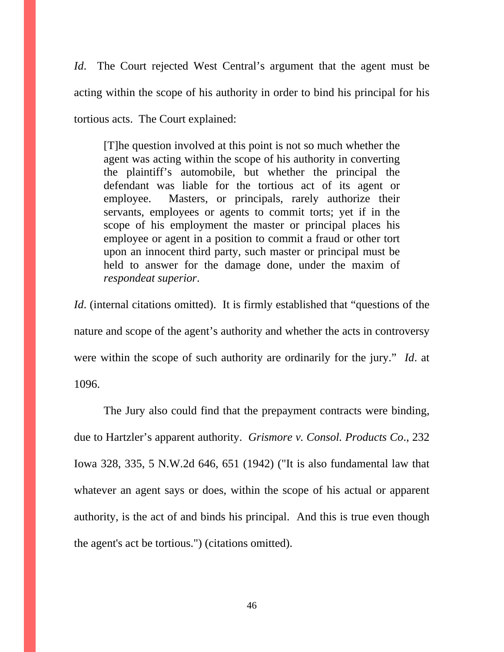*Id*. The Court rejected West Central's argument that the agent must be acting within the scope of his authority in order to bind his principal for his tortious acts. The Court explained:

[T]he question involved at this point is not so much whether the agent was acting within the scope of his authority in converting the plaintiff's automobile, but whether the principal the defendant was liable for the tortious act of its agent or employee. Masters, or principals, rarely authorize their servants, employees or agents to commit torts; yet if in the scope of his employment the master or principal places his employee or agent in a position to commit a fraud or other tort upon an innocent third party, such master or principal must be held to answer for the damage done, under the maxim of *respondeat superior*.

*Id.* (internal citations omitted). It is firmly established that "questions of the nature and scope of the agent's authority and whether the acts in controversy were within the scope of such authority are ordinarily for the jury." *Id*. at 1096.

The Jury also could find that the prepayment contracts were binding, due to Hartzler's apparent authority. *Grismore v. Consol. Products Co*., 232 Iowa 328, 335, 5 N.W.2d 646, 651 (1942) ("It is also fundamental law that whatever an agent says or does, within the scope of his actual or apparent authority, is the act of and binds his principal. And this is true even though the agent's act be tortious.") (citations omitted).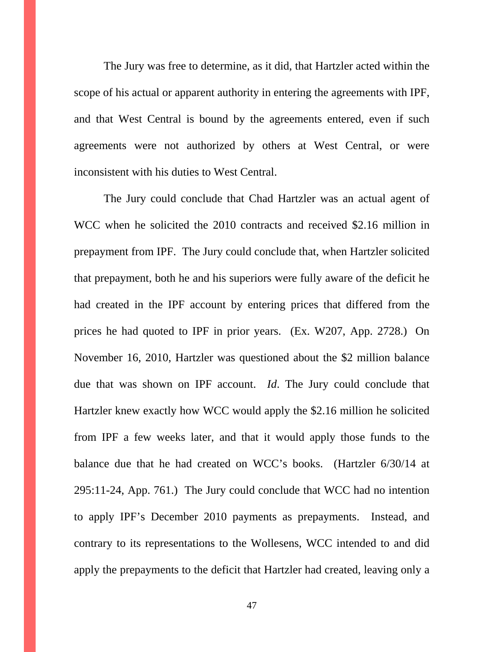The Jury was free to determine, as it did, that Hartzler acted within the scope of his actual or apparent authority in entering the agreements with IPF, and that West Central is bound by the agreements entered, even if such agreements were not authorized by others at West Central, or were inconsistent with his duties to West Central.

The Jury could conclude that Chad Hartzler was an actual agent of WCC when he solicited the 2010 contracts and received \$2.16 million in prepayment from IPF. The Jury could conclude that, when Hartzler solicited that prepayment, both he and his superiors were fully aware of the deficit he had created in the IPF account by entering prices that differed from the prices he had quoted to IPF in prior years. (Ex. W207, App. 2728.) On November 16, 2010, Hartzler was questioned about the \$2 million balance due that was shown on IPF account. *Id*. The Jury could conclude that Hartzler knew exactly how WCC would apply the \$2.16 million he solicited from IPF a few weeks later, and that it would apply those funds to the balance due that he had created on WCC's books. (Hartzler 6/30/14 at 295:11-24, App. 761.) The Jury could conclude that WCC had no intention to apply IPF's December 2010 payments as prepayments. Instead, and contrary to its representations to the Wollesens, WCC intended to and did apply the prepayments to the deficit that Hartzler had created, leaving only a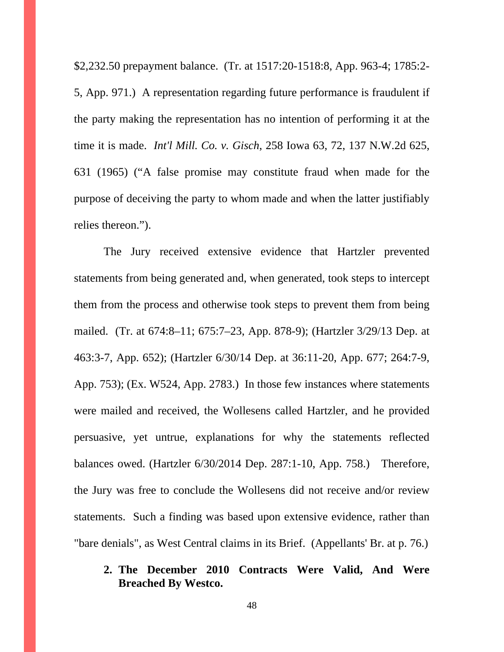\$2,232.50 prepayment balance. (Tr. at 1517:20-1518:8, App. 963-4; 1785:2- 5, App. 971.) A representation regarding future performance is fraudulent if the party making the representation has no intention of performing it at the time it is made. *Int'l Mill. Co. v. Gisch*, 258 Iowa 63, 72, 137 N.W.2d 625, 631 (1965) ("A false promise may constitute fraud when made for the purpose of deceiving the party to whom made and when the latter justifiably relies thereon.").

The Jury received extensive evidence that Hartzler prevented statements from being generated and, when generated, took steps to intercept them from the process and otherwise took steps to prevent them from being mailed. (Tr. at 674:8–11; 675:7–23, App. 878-9); (Hartzler 3/29/13 Dep. at 463:3-7, App. 652); (Hartzler 6/30/14 Dep. at 36:11-20, App. 677; 264:7-9, App. 753); (Ex. W524, App. 2783.) In those few instances where statements were mailed and received, the Wollesens called Hartzler, and he provided persuasive, yet untrue, explanations for why the statements reflected balances owed. (Hartzler 6/30/2014 Dep. 287:1-10, App. 758.) Therefore, the Jury was free to conclude the Wollesens did not receive and/or review statements. Such a finding was based upon extensive evidence, rather than "bare denials", as West Central claims in its Brief. (Appellants' Br. at p. 76.)

**2. The December 2010 Contracts Were Valid, And Were Breached By Westco.**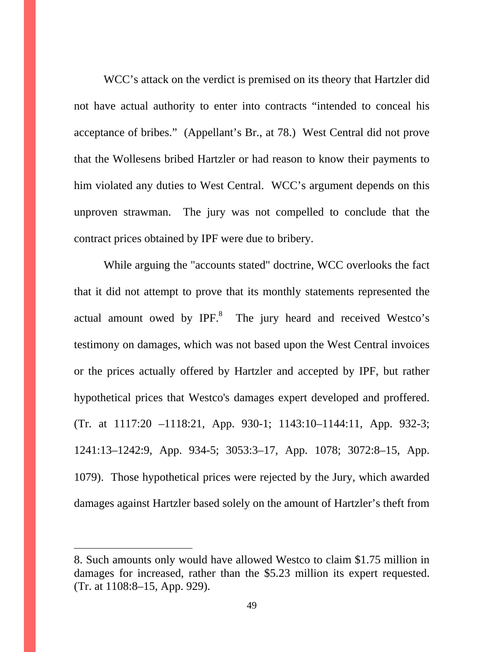WCC's attack on the verdict is premised on its theory that Hartzler did not have actual authority to enter into contracts "intended to conceal his acceptance of bribes." (Appellant's Br., at 78.) West Central did not prove that the Wollesens bribed Hartzler or had reason to know their payments to him violated any duties to West Central. WCC's argument depends on this unproven strawman. The jury was not compelled to conclude that the contract prices obtained by IPF were due to bribery.

While arguing the "accounts stated" doctrine, WCC overlooks the fact that it did not attempt to prove that its monthly statements represented the actual amount owed by  $IPF<sup>8</sup>$  The jury heard and received Westco's testimony on damages, which was not based upon the West Central invoices or the prices actually offered by Hartzler and accepted by IPF, but rather hypothetical prices that Westco's damages expert developed and proffered. (Tr. at 1117:20 –1118:21, App. 930-1; 1143:10–1144:11, App. 932-3; 1241:13–1242:9, App. 934-5; 3053:3–17, App. 1078; 3072:8–15, App. 1079). Those hypothetical prices were rejected by the Jury, which awarded damages against Hartzler based solely on the amount of Hartzler's theft from

 $\overline{a}$ 

<sup>8.</sup> Such amounts only would have allowed Westco to claim \$1.75 million in damages for increased, rather than the \$5.23 million its expert requested. (Tr. at 1108:8–15, App. 929).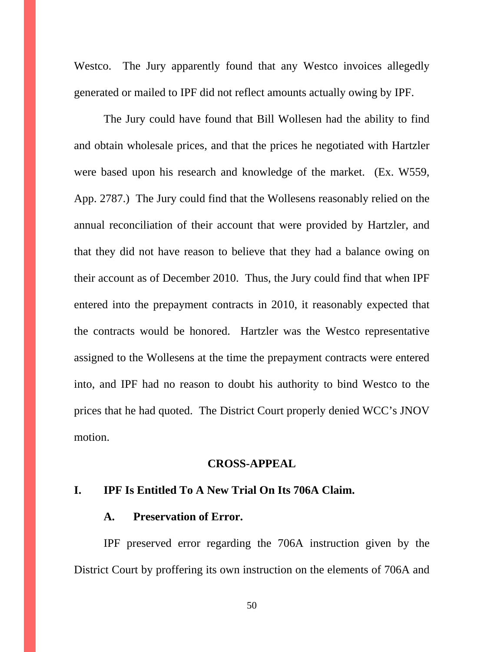Westco. The Jury apparently found that any Westco invoices allegedly generated or mailed to IPF did not reflect amounts actually owing by IPF.

The Jury could have found that Bill Wollesen had the ability to find and obtain wholesale prices, and that the prices he negotiated with Hartzler were based upon his research and knowledge of the market. (Ex. W559, App. 2787.) The Jury could find that the Wollesens reasonably relied on the annual reconciliation of their account that were provided by Hartzler, and that they did not have reason to believe that they had a balance owing on their account as of December 2010. Thus, the Jury could find that when IPF entered into the prepayment contracts in 2010, it reasonably expected that the contracts would be honored. Hartzler was the Westco representative assigned to the Wollesens at the time the prepayment contracts were entered into, and IPF had no reason to doubt his authority to bind Westco to the prices that he had quoted. The District Court properly denied WCC's JNOV motion.

#### **CROSS-APPEAL**

### **I. IPF Is Entitled To A New Trial On Its 706A Claim.**

### **A. Preservation of Error.**

IPF preserved error regarding the 706A instruction given by the District Court by proffering its own instruction on the elements of 706A and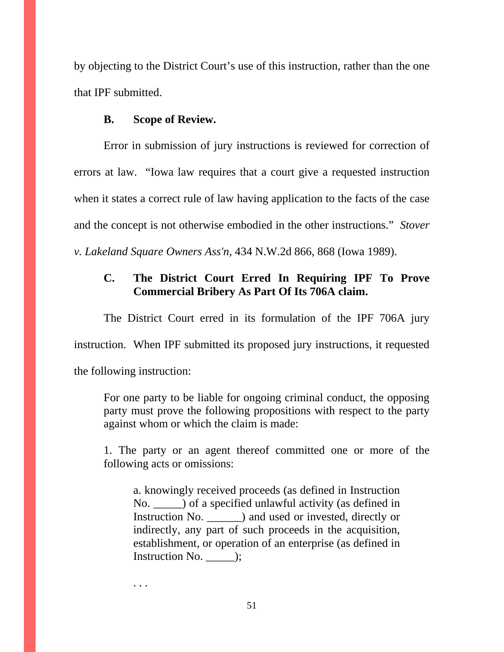by objecting to the District Court's use of this instruction, rather than the one that IPF submitted.

## **B. Scope of Review.**

Error in submission of jury instructions is reviewed for correction of errors at law. "Iowa law requires that a court give a requested instruction when it states a correct rule of law having application to the facts of the case and the concept is not otherwise embodied in the other instructions." *Stover v. Lakeland Square Owners Ass'n*, 434 N.W.2d 866, 868 (Iowa 1989).

# **C. The District Court Erred In Requiring IPF To Prove Commercial Bribery As Part Of Its 706A claim.**

The District Court erred in its formulation of the IPF 706A jury instruction. When IPF submitted its proposed jury instructions, it requested the following instruction:

For one party to be liable for ongoing criminal conduct, the opposing party must prove the following propositions with respect to the party against whom or which the claim is made:

1. The party or an agent thereof committed one or more of the following acts or omissions:

a. knowingly received proceeds (as defined in Instruction No. \_\_\_\_\_) of a specified unlawful activity (as defined in Instruction No. \_\_\_\_\_\_) and used or invested, directly or indirectly, any part of such proceeds in the acquisition, establishment, or operation of an enterprise (as defined in Instruction No. \_\_\_\_\_);

. . .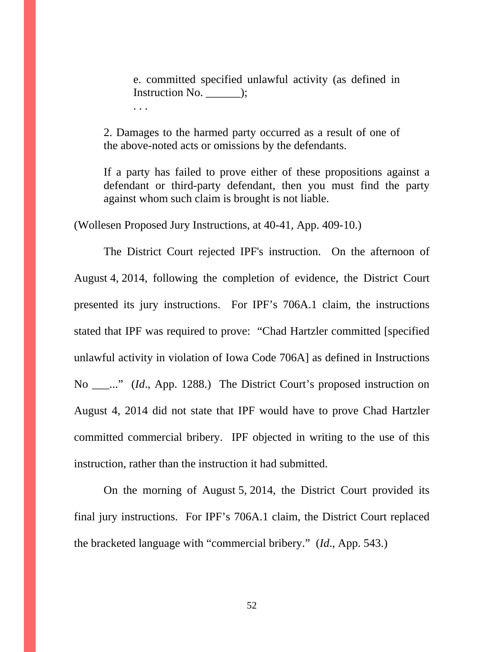e. committed specified unlawful activity (as defined in Instruction No. \_\_\_\_\_\_);

2. Damages to the harmed party occurred as a result of one of the above-noted acts or omissions by the defendants.

If a party has failed to prove either of these propositions against a defendant or third-party defendant, then you must find the party against whom such claim is brought is not liable.

(Wollesen Proposed Jury Instructions, at 40-41, App. 409-10.)

. . .

The District Court rejected IPF's instruction. On the afternoon of August 4, 2014, following the completion of evidence, the District Court presented its jury instructions. For IPF's 706A.1 claim, the instructions stated that IPF was required to prove: "Chad Hartzler committed [specified unlawful activity in violation of Iowa Code 706A] as defined in Instructions No \_\_\_..." (*Id*., App. 1288.) The District Court's proposed instruction on August 4, 2014 did not state that IPF would have to prove Chad Hartzler committed commercial bribery. IPF objected in writing to the use of this instruction, rather than the instruction it had submitted.

On the morning of August 5, 2014, the District Court provided its final jury instructions. For IPF's 706A.1 claim, the District Court replaced the bracketed language with "commercial bribery." (*Id*., App. 543.)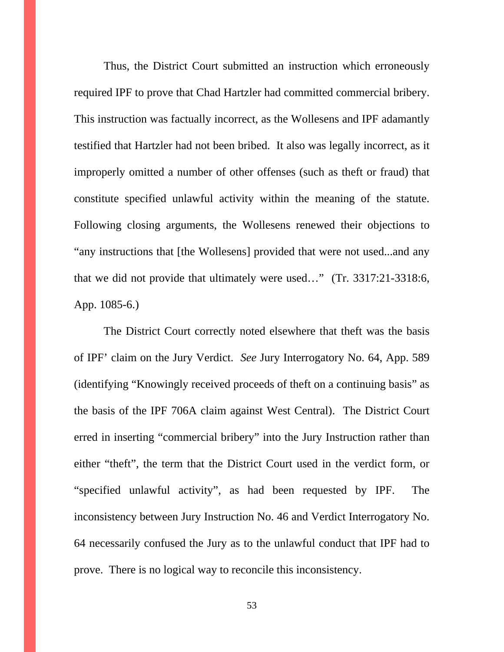Thus, the District Court submitted an instruction which erroneously required IPF to prove that Chad Hartzler had committed commercial bribery. This instruction was factually incorrect, as the Wollesens and IPF adamantly testified that Hartzler had not been bribed. It also was legally incorrect, as it improperly omitted a number of other offenses (such as theft or fraud) that constitute specified unlawful activity within the meaning of the statute. Following closing arguments, the Wollesens renewed their objections to "any instructions that [the Wollesens] provided that were not used...and any that we did not provide that ultimately were used…" (Tr. 3317:21-3318:6, App. 1085-6.)

The District Court correctly noted elsewhere that theft was the basis of IPF' claim on the Jury Verdict. *See* Jury Interrogatory No. 64, App. 589 (identifying "Knowingly received proceeds of theft on a continuing basis" as the basis of the IPF 706A claim against West Central). The District Court erred in inserting "commercial bribery" into the Jury Instruction rather than either "theft", the term that the District Court used in the verdict form, or "specified unlawful activity", as had been requested by IPF. The inconsistency between Jury Instruction No. 46 and Verdict Interrogatory No. 64 necessarily confused the Jury as to the unlawful conduct that IPF had to prove. There is no logical way to reconcile this inconsistency.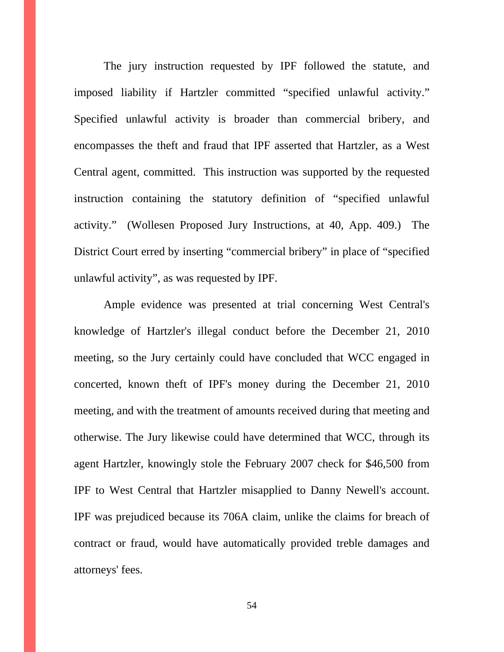The jury instruction requested by IPF followed the statute, and imposed liability if Hartzler committed "specified unlawful activity." Specified unlawful activity is broader than commercial bribery, and encompasses the theft and fraud that IPF asserted that Hartzler, as a West Central agent, committed. This instruction was supported by the requested instruction containing the statutory definition of "specified unlawful activity." (Wollesen Proposed Jury Instructions, at 40, App. 409.) The District Court erred by inserting "commercial bribery" in place of "specified unlawful activity", as was requested by IPF.

Ample evidence was presented at trial concerning West Central's knowledge of Hartzler's illegal conduct before the December 21, 2010 meeting, so the Jury certainly could have concluded that WCC engaged in concerted, known theft of IPF's money during the December 21, 2010 meeting, and with the treatment of amounts received during that meeting and otherwise. The Jury likewise could have determined that WCC, through its agent Hartzler, knowingly stole the February 2007 check for \$46,500 from IPF to West Central that Hartzler misapplied to Danny Newell's account. IPF was prejudiced because its 706A claim, unlike the claims for breach of contract or fraud, would have automatically provided treble damages and attorneys' fees.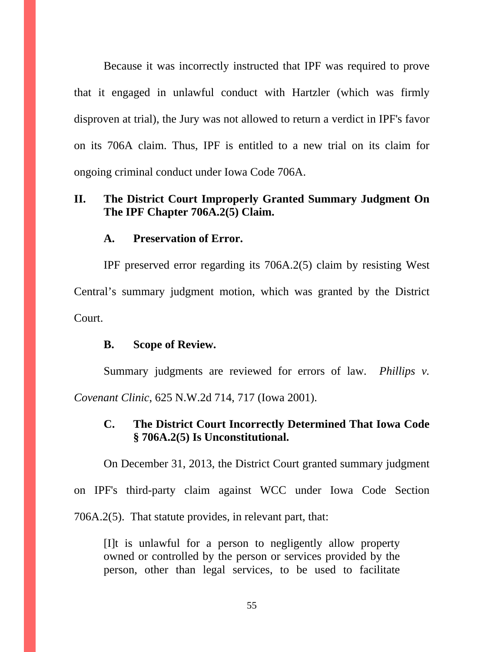Because it was incorrectly instructed that IPF was required to prove that it engaged in unlawful conduct with Hartzler (which was firmly disproven at trial), the Jury was not allowed to return a verdict in IPF's favor on its 706A claim. Thus, IPF is entitled to a new trial on its claim for ongoing criminal conduct under Iowa Code 706A.

### **II. The District Court Improperly Granted Summary Judgment On The IPF Chapter 706A.2(5) Claim.**

### **A. Preservation of Error.**

IPF preserved error regarding its 706A.2(5) claim by resisting West Central's summary judgment motion, which was granted by the District Court.

### **B. Scope of Review.**

Summary judgments are reviewed for errors of law. *Phillips v. Covenant Clinic*, 625 N.W.2d 714, 717 (Iowa 2001).

## **C. The District Court Incorrectly Determined That Iowa Code § 706A.2(5) Is Unconstitutional.**

On December 31, 2013, the District Court granted summary judgment

on IPF's third-party claim against WCC under Iowa Code Section

706A.2(5). That statute provides, in relevant part, that:

[I]t is unlawful for a person to negligently allow property owned or controlled by the person or services provided by the person, other than legal services, to be used to facilitate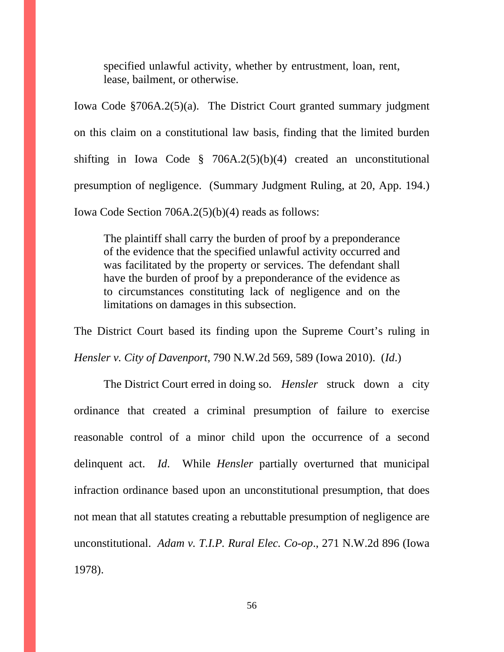specified unlawful activity, whether by entrustment, loan, rent, lease, bailment, or otherwise.

Iowa Code §706A.2(5)(a). The District Court granted summary judgment on this claim on a constitutional law basis, finding that the limited burden shifting in Iowa Code § 706A.2(5)(b)(4) created an unconstitutional presumption of negligence. (Summary Judgment Ruling, at 20, App. 194.) Iowa Code Section 706A.2(5)(b)(4) reads as follows:

The plaintiff shall carry the burden of proof by a preponderance of the evidence that the specified unlawful activity occurred and was facilitated by the property or services. The defendant shall have the burden of proof by a preponderance of the evidence as to circumstances constituting lack of negligence and on the limitations on damages in this subsection.

The District Court based its finding upon the Supreme Court's ruling in *Hensler v. City of Davenport*, 790 N.W.2d 569, 589 (Iowa 2010). (*Id*.)

 The District Court erred in doing so. *Hensler* struck down a city ordinance that created a criminal presumption of failure to exercise reasonable control of a minor child upon the occurrence of a second delinquent act. *Id*. While *Hensler* partially overturned that municipal infraction ordinance based upon an unconstitutional presumption, that does not mean that all statutes creating a rebuttable presumption of negligence are unconstitutional. *Adam v. T.I.P. Rural Elec. Co-op*., 271 N.W.2d 896 (Iowa 1978).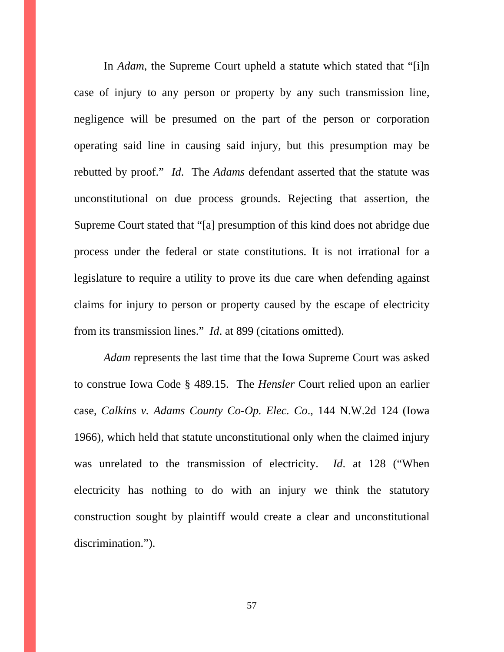In *Adam*, the Supreme Court upheld a statute which stated that "[i]n case of injury to any person or property by any such transmission line, negligence will be presumed on the part of the person or corporation operating said line in causing said injury, but this presumption may be rebutted by proof." *Id*. The *Adams* defendant asserted that the statute was unconstitutional on due process grounds. Rejecting that assertion, the Supreme Court stated that "[a] presumption of this kind does not abridge due process under the federal or state constitutions. It is not irrational for a legislature to require a utility to prove its due care when defending against claims for injury to person or property caused by the escape of electricity from its transmission lines." *Id*. at 899 (citations omitted).

*Adam* represents the last time that the Iowa Supreme Court was asked to construe Iowa Code § 489.15. The *Hensler* Court relied upon an earlier case, *Calkins v. Adams County Co-Op. Elec. Co*., 144 N.W.2d 124 (Iowa 1966), which held that statute unconstitutional only when the claimed injury was unrelated to the transmission of electricity. *Id*. at 128 ("When electricity has nothing to do with an injury we think the statutory construction sought by plaintiff would create a clear and unconstitutional discrimination.").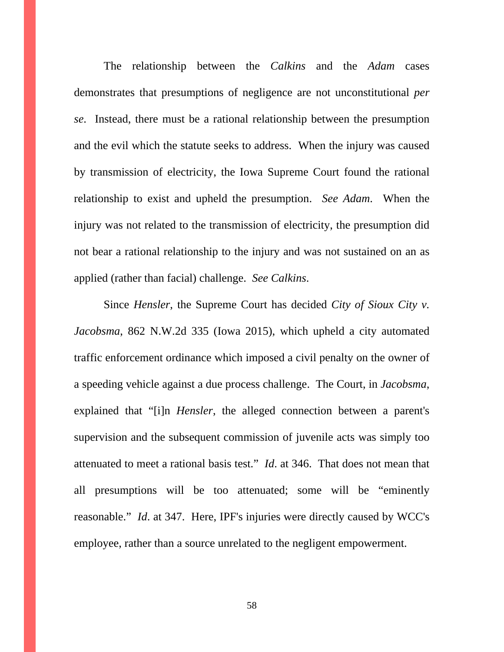The relationship between the *Calkins* and the *Adam* cases demonstrates that presumptions of negligence are not unconstitutional *per se*. Instead, there must be a rational relationship between the presumption and the evil which the statute seeks to address. When the injury was caused by transmission of electricity, the Iowa Supreme Court found the rational relationship to exist and upheld the presumption. *See Adam*. When the injury was not related to the transmission of electricity, the presumption did not bear a rational relationship to the injury and was not sustained on an as applied (rather than facial) challenge. *See Calkins*.

 Since *Hensler*, the Supreme Court has decided *City of Sioux City v. Jacobsma*, 862 N.W.2d 335 (Iowa 2015), which upheld a city automated traffic enforcement ordinance which imposed a civil penalty on the owner of a speeding vehicle against a due process challenge. The Court, in *Jacobsma*, explained that "[i]n *Hensler*, the alleged connection between a parent's supervision and the subsequent commission of juvenile acts was simply too attenuated to meet a rational basis test." *Id*. at 346.That does not mean that all presumptions will be too attenuated; some will be "eminently reasonable." *Id*. at 347. Here, IPF's injuries were directly caused by WCC's employee, rather than a source unrelated to the negligent empowerment.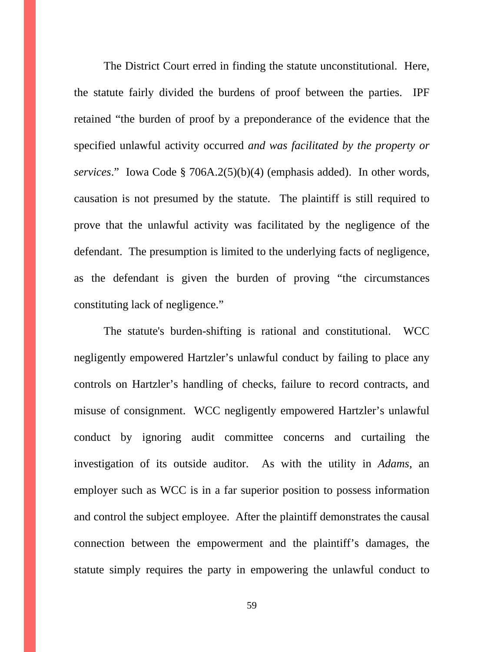The District Court erred in finding the statute unconstitutional. Here, the statute fairly divided the burdens of proof between the parties. IPF retained "the burden of proof by a preponderance of the evidence that the specified unlawful activity occurred *and was facilitated by the property or services*." Iowa Code § 706A.2(5)(b)(4) (emphasis added). In other words, causation is not presumed by the statute. The plaintiff is still required to prove that the unlawful activity was facilitated by the negligence of the defendant. The presumption is limited to the underlying facts of negligence, as the defendant is given the burden of proving "the circumstances constituting lack of negligence."

The statute's burden-shifting is rational and constitutional. WCC negligently empowered Hartzler's unlawful conduct by failing to place any controls on Hartzler's handling of checks, failure to record contracts, and misuse of consignment. WCC negligently empowered Hartzler's unlawful conduct by ignoring audit committee concerns and curtailing the investigation of its outside auditor. As with the utility in *Adams*, an employer such as WCC is in a far superior position to possess information and control the subject employee. After the plaintiff demonstrates the causal connection between the empowerment and the plaintiff's damages, the statute simply requires the party in empowering the unlawful conduct to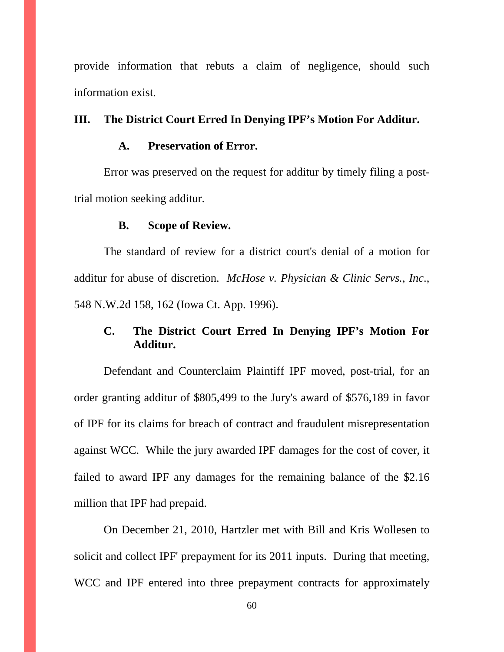provide information that rebuts a claim of negligence, should such information exist.

### **III. The District Court Erred In Denying IPF's Motion For Additur.**

### **A. Preservation of Error.**

Error was preserved on the request for additur by timely filing a posttrial motion seeking additur.

#### **B. Scope of Review.**

The standard of review for a district court's denial of a motion for additur for abuse of discretion. *McHose v. Physician & Clinic Servs., Inc*., 548 N.W.2d 158, 162 (Iowa Ct. App. 1996).

## **C. The District Court Erred In Denying IPF's Motion For Additur.**

Defendant and Counterclaim Plaintiff IPF moved, post-trial, for an order granting additur of \$805,499 to the Jury's award of \$576,189 in favor of IPF for its claims for breach of contract and fraudulent misrepresentation against WCC. While the jury awarded IPF damages for the cost of cover, it failed to award IPF any damages for the remaining balance of the \$2.16 million that IPF had prepaid.

On December 21, 2010, Hartzler met with Bill and Kris Wollesen to solicit and collect IPF' prepayment for its 2011 inputs. During that meeting, WCC and IPF entered into three prepayment contracts for approximately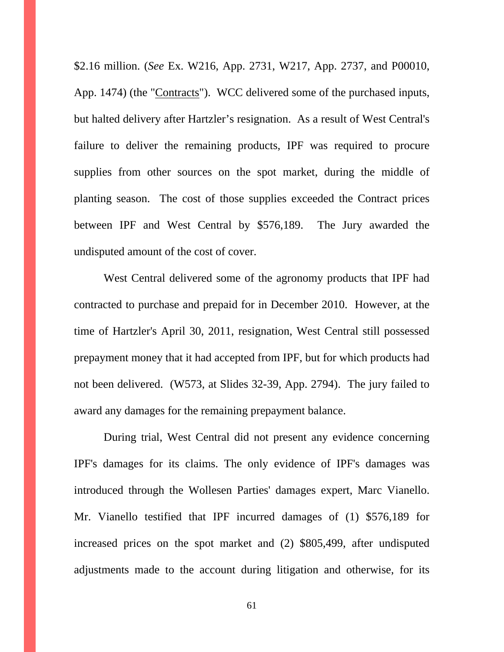\$2.16 million. (*See* Ex. W216, App. 2731, W217, App. 2737, and P00010, App. 1474) (the "Contracts"). WCC delivered some of the purchased inputs, but halted delivery after Hartzler's resignation. As a result of West Central's failure to deliver the remaining products, IPF was required to procure supplies from other sources on the spot market, during the middle of planting season. The cost of those supplies exceeded the Contract prices between IPF and West Central by \$576,189. The Jury awarded the undisputed amount of the cost of cover.

West Central delivered some of the agronomy products that IPF had contracted to purchase and prepaid for in December 2010. However, at the time of Hartzler's April 30, 2011, resignation, West Central still possessed prepayment money that it had accepted from IPF, but for which products had not been delivered. (W573, at Slides 32-39, App. 2794). The jury failed to award any damages for the remaining prepayment balance.

During trial, West Central did not present any evidence concerning IPF's damages for its claims. The only evidence of IPF's damages was introduced through the Wollesen Parties' damages expert, Marc Vianello. Mr. Vianello testified that IPF incurred damages of (1) \$576,189 for increased prices on the spot market and (2) \$805,499, after undisputed adjustments made to the account during litigation and otherwise, for its

61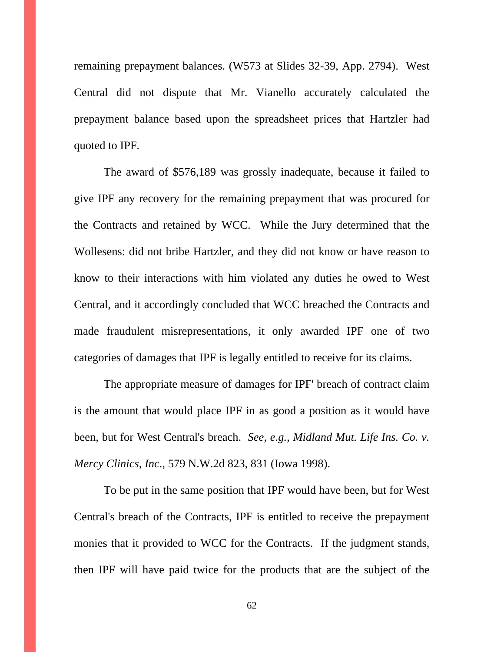remaining prepayment balances. (W573 at Slides 32-39, App. 2794). West Central did not dispute that Mr. Vianello accurately calculated the prepayment balance based upon the spreadsheet prices that Hartzler had quoted to IPF.

The award of \$576,189 was grossly inadequate, because it failed to give IPF any recovery for the remaining prepayment that was procured for the Contracts and retained by WCC. While the Jury determined that the Wollesens: did not bribe Hartzler, and they did not know or have reason to know to their interactions with him violated any duties he owed to West Central, and it accordingly concluded that WCC breached the Contracts and made fraudulent misrepresentations, it only awarded IPF one of two categories of damages that IPF is legally entitled to receive for its claims.

The appropriate measure of damages for IPF' breach of contract claim is the amount that would place IPF in as good a position as it would have been, but for West Central's breach. *See, e.g., Midland Mut. Life Ins. Co. v. Mercy Clinics, Inc*., 579 N.W.2d 823, 831 (Iowa 1998).

To be put in the same position that IPF would have been, but for West Central's breach of the Contracts, IPF is entitled to receive the prepayment monies that it provided to WCC for the Contracts. If the judgment stands, then IPF will have paid twice for the products that are the subject of the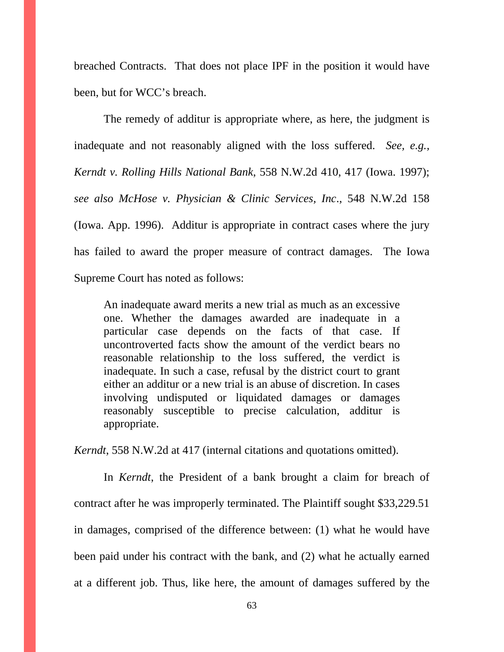breached Contracts. That does not place IPF in the position it would have been, but for WCC's breach.

The remedy of additur is appropriate where, as here, the judgment is inadequate and not reasonably aligned with the loss suffered. *See, e.g., Kerndt v. Rolling Hills National Bank*, 558 N.W.2d 410, 417 (Iowa. 1997); *see also McHose v. Physician & Clinic Services, Inc*., 548 N.W.2d 158 (Iowa. App. 1996). Additur is appropriate in contract cases where the jury has failed to award the proper measure of contract damages. The Iowa Supreme Court has noted as follows:

An inadequate award merits a new trial as much as an excessive one. Whether the damages awarded are inadequate in a particular case depends on the facts of that case. If uncontroverted facts show the amount of the verdict bears no reasonable relationship to the loss suffered, the verdict is inadequate. In such a case, refusal by the district court to grant either an additur or a new trial is an abuse of discretion. In cases involving undisputed or liquidated damages or damages reasonably susceptible to precise calculation, additur is appropriate.

*Kerndt*, 558 N.W.2d at 417 (internal citations and quotations omitted).

In *Kerndt*, the President of a bank brought a claim for breach of contract after he was improperly terminated. The Plaintiff sought \$33,229.51 in damages, comprised of the difference between: (1) what he would have been paid under his contract with the bank, and (2) what he actually earned at a different job. Thus, like here, the amount of damages suffered by the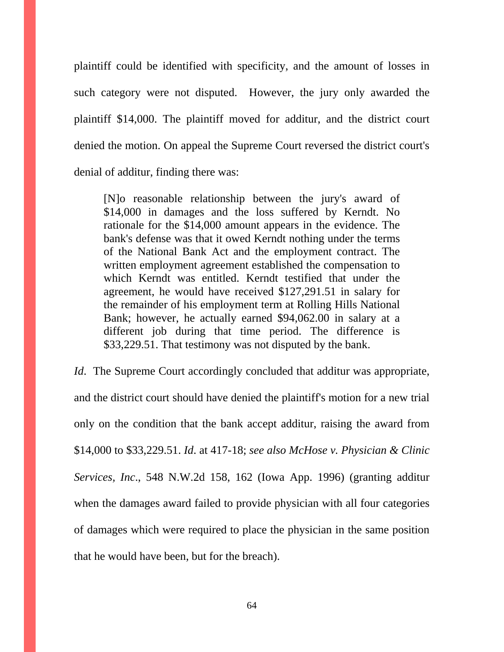plaintiff could be identified with specificity, and the amount of losses in such category were not disputed. However, the jury only awarded the plaintiff \$14,000. The plaintiff moved for additur, and the district court denied the motion. On appeal the Supreme Court reversed the district court's denial of additur, finding there was:

[N]o reasonable relationship between the jury's award of \$14,000 in damages and the loss suffered by Kerndt. No rationale for the \$14,000 amount appears in the evidence. The bank's defense was that it owed Kerndt nothing under the terms of the National Bank Act and the employment contract. The written employment agreement established the compensation to which Kerndt was entitled. Kerndt testified that under the agreement, he would have received \$127,291.51 in salary for the remainder of his employment term at Rolling Hills National Bank; however, he actually earned \$94,062.00 in salary at a different job during that time period. The difference is \$33,229.51. That testimony was not disputed by the bank.

*Id*. The Supreme Court accordingly concluded that additur was appropriate, and the district court should have denied the plaintiff's motion for a new trial only on the condition that the bank accept additur, raising the award from \$14,000 to \$33,229.51. *Id*. at 417-18; *see also McHose v. Physician & Clinic Services, Inc*., 548 N.W.2d 158, 162 (Iowa App. 1996) (granting additur when the damages award failed to provide physician with all four categories of damages which were required to place the physician in the same position that he would have been, but for the breach).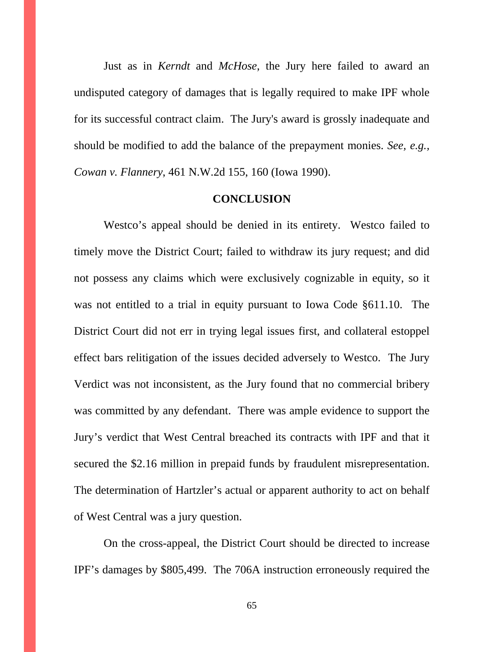Just as in *Kerndt* and *McHose*, the Jury here failed to award an undisputed category of damages that is legally required to make IPF whole for its successful contract claim. The Jury's award is grossly inadequate and should be modified to add the balance of the prepayment monies. *See, e.g., Cowan v. Flannery*, 461 N.W.2d 155, 160 (Iowa 1990).

#### **CONCLUSION**

Westco's appeal should be denied in its entirety. Westco failed to timely move the District Court; failed to withdraw its jury request; and did not possess any claims which were exclusively cognizable in equity, so it was not entitled to a trial in equity pursuant to Iowa Code §611.10. The District Court did not err in trying legal issues first, and collateral estoppel effect bars relitigation of the issues decided adversely to Westco. The Jury Verdict was not inconsistent, as the Jury found that no commercial bribery was committed by any defendant. There was ample evidence to support the Jury's verdict that West Central breached its contracts with IPF and that it secured the \$2.16 million in prepaid funds by fraudulent misrepresentation. The determination of Hartzler's actual or apparent authority to act on behalf of West Central was a jury question.

 On the cross-appeal, the District Court should be directed to increase IPF's damages by \$805,499. The 706A instruction erroneously required the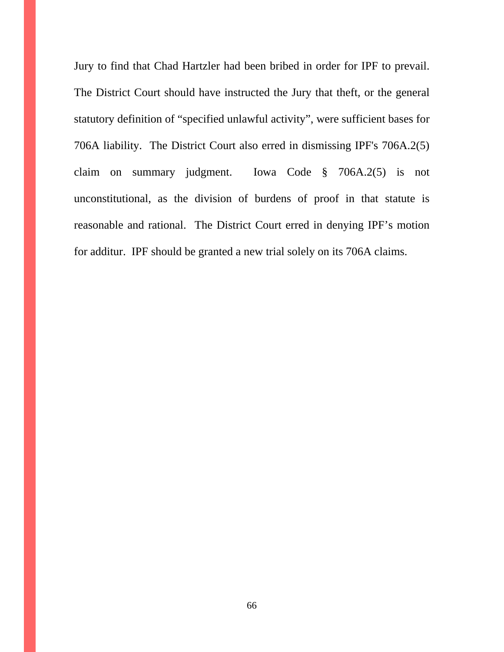Jury to find that Chad Hartzler had been bribed in order for IPF to prevail. The District Court should have instructed the Jury that theft, or the general statutory definition of "specified unlawful activity", were sufficient bases for 706A liability. The District Court also erred in dismissing IPF's 706A.2(5) claim on summary judgment. Iowa Code § 706A.2(5) is not unconstitutional, as the division of burdens of proof in that statute is reasonable and rational. The District Court erred in denying IPF's motion for additur. IPF should be granted a new trial solely on its 706A claims.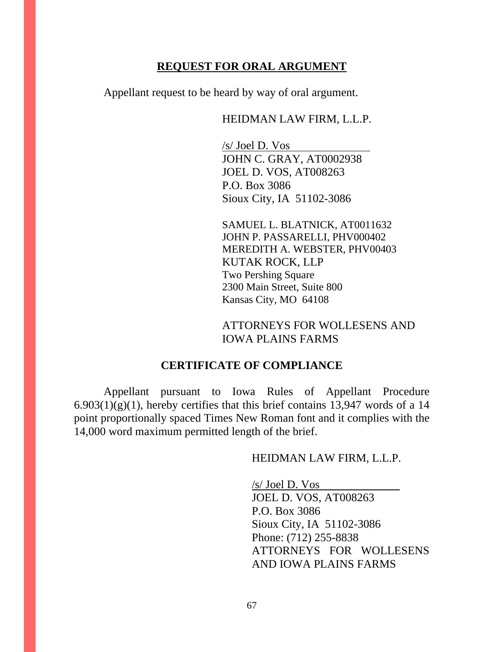## **REQUEST FOR ORAL ARGUMENT**

Appellant request to be heard by way of oral argument.

### HEIDMAN LAW FIRM, L.L.P.

 /s/ Joel D. Vos JOHN C. GRAY, AT0002938 JOEL D. VOS, AT008263 P.O. Box 3086 Sioux City, IA 51102-3086

SAMUEL L. BLATNICK, AT0011632 JOHN P. PASSARELLI, PHV000402 MEREDITH A. WEBSTER, PHV00403 KUTAK ROCK, LLP Two Pershing Square 2300 Main Street, Suite 800 Kansas City, MO 64108

ATTORNEYS FOR WOLLESENS AND IOWA PLAINS FARMS

### **CERTIFICATE OF COMPLIANCE**

 Appellant pursuant to Iowa Rules of Appellant Procedure  $6.903(1)(g)(1)$ , hereby certifies that this brief contains 13,947 words of a 14 point proportionally spaced Times New Roman font and it complies with the 14,000 word maximum permitted length of the brief.

HEIDMAN LAW FIRM, L.L.P.

/s/ Joel D. Vos JOEL D. VOS, AT008263 P.O. Box 3086 Sioux City, IA 51102-3086 Phone: (712) 255-8838 ATTORNEYS FOR WOLLESENS AND IOWA PLAINS FARMS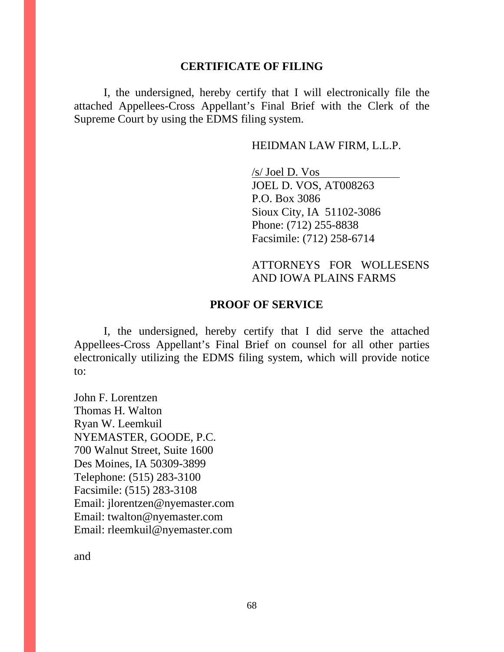#### **CERTIFICATE OF FILING**

I, the undersigned, hereby certify that I will electronically file the attached Appellees-Cross Appellant's Final Brief with the Clerk of the Supreme Court by using the EDMS filing system.

#### HEIDMAN LAW FIRM, L.L.P.

 /s/ Joel D. Vos JOEL D. VOS, AT008263 P.O. Box 3086 Sioux City, IA 51102-3086 Phone: (712) 255-8838 Facsimile: (712) 258-6714

## ATTORNEYS FOR WOLLESENS AND IOWA PLAINS FARMS

#### **PROOF OF SERVICE**

I, the undersigned, hereby certify that I did serve the attached Appellees-Cross Appellant's Final Brief on counsel for all other parties electronically utilizing the EDMS filing system, which will provide notice to:

John F. Lorentzen Thomas H. Walton Ryan W. Leemkuil NYEMASTER, GOODE, P.C. 700 Walnut Street, Suite 1600 Des Moines, IA 50309-3899 Telephone: (515) 283-3100 Facsimile: (515) 283-3108 Email: jlorentzen@nyemaster.com Email: twalton@nyemaster.com Email: rleemkuil@nyemaster.com

and